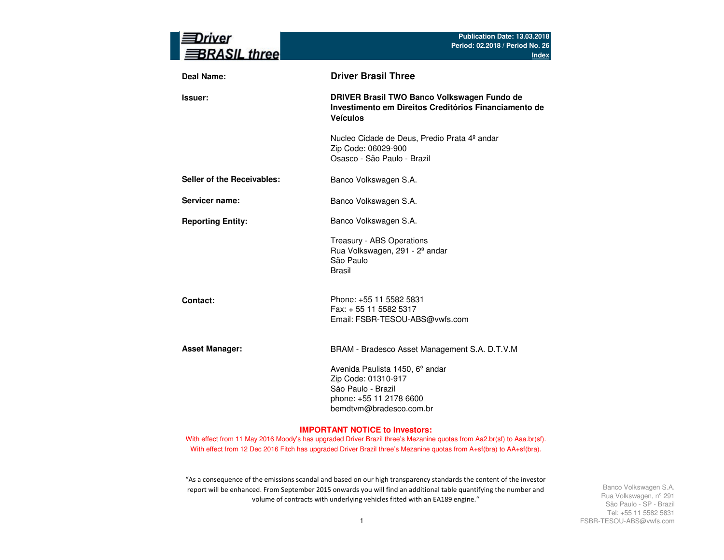| nver<br><b>BRASIL three</b> | Publication Date: 13.03.2018<br>Period: 02.2018 / Period No. 26<br><b>Index</b>                                                                |
|-----------------------------|------------------------------------------------------------------------------------------------------------------------------------------------|
| Deal Name:                  | <b>Driver Brasil Three</b>                                                                                                                     |
| <b>Issuer:</b>              | DRIVER Brasil TWO Banco Volkswagen Fundo de<br>Investimento em Direitos Creditórios Financiamento de<br><b>Veículos</b>                        |
|                             | Nucleo Cidade de Deus, Predio Prata 4º andar<br>Zip Code: 06029-900<br>Osasco - São Paulo - Brazil                                             |
| Seller of the Receivables:  | Banco Volkswagen S.A.                                                                                                                          |
| Servicer name:              | Banco Volkswagen S.A.                                                                                                                          |
| <b>Reporting Entity:</b>    | Banco Volkswagen S.A.                                                                                                                          |
|                             | Treasury - ABS Operations<br>Rua Volkswagen, 291 - 2º andar<br>São Paulo<br><b>Brasil</b>                                                      |
| Contact:                    | Phone: +55 11 5582 5831<br>Fax: + 55 11 5582 5317<br>Email: FSBR-TESOU-ABS@vwfs.com                                                            |
| <b>Asset Manager:</b>       | BRAM - Bradesco Asset Management S.A. D.T.V.M                                                                                                  |
|                             | Avenida Paulista 1450, 6 <sup>°</sup> andar<br>Zip Code: 01310-917<br>São Paulo - Brazil<br>phone: +55 11 2178 6600<br>bemdtvm@bradesco.com.br |

#### **IMPORTANT NOTICE to Investors:**

With effect from 11 May 2016 Moody's has upgraded Driver Brazil three's Mezanine quotas from Aa2.br(sf) to Aaa.br(sf). With effect from 12 Dec 2016 Fitch has upgraded Driver Brazil three's Mezanine quotas from A+sf(bra) to AA+sf(bra).

"As a consequence of the emissions scandal and based on our high transparency standards the content of the investor report will be enhanced. From September 2015 onwards you will find an additional table quantifying the number and volume of contracts with underlying vehicles fitted with an EA189 engine."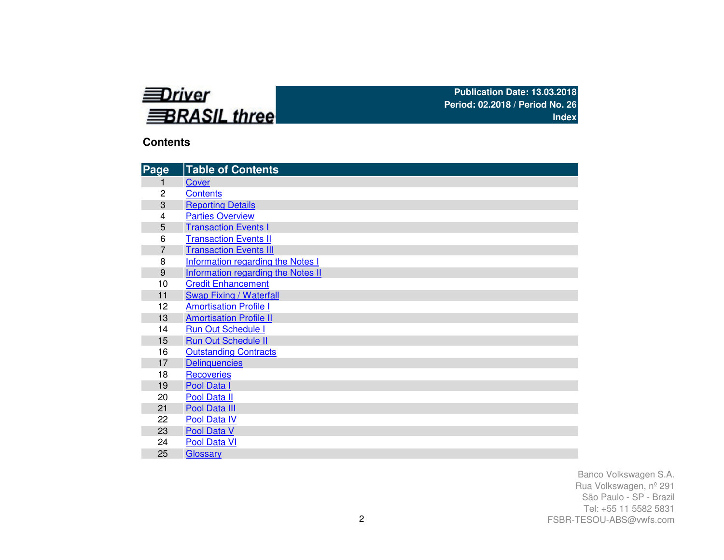

## **Contents**

| Page           | <b>Table of Contents</b>           |
|----------------|------------------------------------|
| 1              | Cover                              |
| 2              | <b>Contents</b>                    |
| 3              | <b>Reporting Details</b>           |
| 4              | <b>Parties Overview</b>            |
| 5              | <b>Transaction Events I</b>        |
| 6              | <b>Transaction Events II</b>       |
| $\overline{7}$ | <b>Transaction Events III</b>      |
| 8              | Information regarding the Notes I  |
| 9              | Information regarding the Notes II |
| 10             | <b>Credit Enhancement</b>          |
| 11             | <b>Swap Fixing / Waterfall</b>     |
| 12             | <b>Amortisation Profile I</b>      |
| 13             | <b>Amortisation Profile II</b>     |
| 14             | <b>Run Out Schedule I</b>          |
| 15             | <b>Run Out Schedule II</b>         |
| 16             | <b>Outstanding Contracts</b>       |
| 17             | <b>Delinquencies</b>               |
| 18             | <b>Recoveries</b>                  |
| 19             | Pool Data I                        |
| 20             | Pool Data II                       |
| 21             | Pool Data III                      |
| 22             | Pool Data IV                       |
| 23             | Pool Data V                        |
| 24             | Pool Data VI                       |
| 25             | Glossary                           |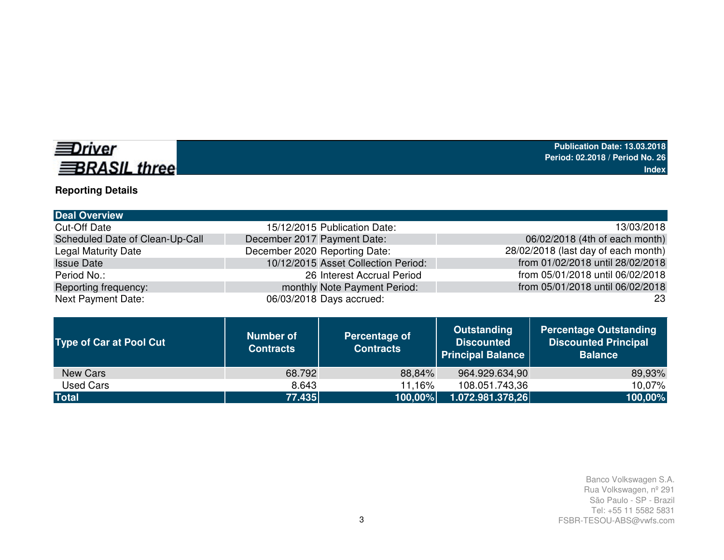# **EDriver BRASIL three**

# **Reporting Details**

| <b>Deal Overview</b>            |                                     |                                     |
|---------------------------------|-------------------------------------|-------------------------------------|
| Cut-Off Date                    | 15/12/2015 Publication Date:        | 13/03/2018                          |
| Scheduled Date of Clean-Up-Call | December 2017 Payment Date:         | 06/02/2018 (4th of each month)      |
| <b>Legal Maturity Date</b>      | December 2020 Reporting Date:       | 28/02/2018 (last day of each month) |
| <b>Issue Date</b>               | 10/12/2015 Asset Collection Period: | from 01/02/2018 until 28/02/2018    |
| Period No.:                     | 26 Interest Accrual Period          | from 05/01/2018 until 06/02/2018    |
| Reporting frequency:            | monthly Note Payment Period:        | from 05/01/2018 until 06/02/2018    |
| <b>Next Payment Date:</b>       | 06/03/2018 Days accrued:            | 23                                  |

| <b>Type of Car at Pool Cut</b> | <b>Number of</b><br><b>Contracts</b> | Percentage of<br><b>Contracts</b> | <b>Outstanding</b><br><b>Discounted</b><br><b>Principal Balance</b> | <b>Percentage Outstanding</b><br><b>Discounted Principal</b><br><b>Balance</b> |
|--------------------------------|--------------------------------------|-----------------------------------|---------------------------------------------------------------------|--------------------------------------------------------------------------------|
| New Cars                       | 68.792                               | 88,84%                            | 964.929.634,90                                                      | 89,93%                                                                         |
| Used Cars                      | 8.643                                | 11,16%                            | 108.051.743,36                                                      | 10,07%                                                                         |
| <b>Total</b>                   | $\overline{77.435}$                  | 100,00%                           | 1.072.981.378,26                                                    | 100,00%                                                                        |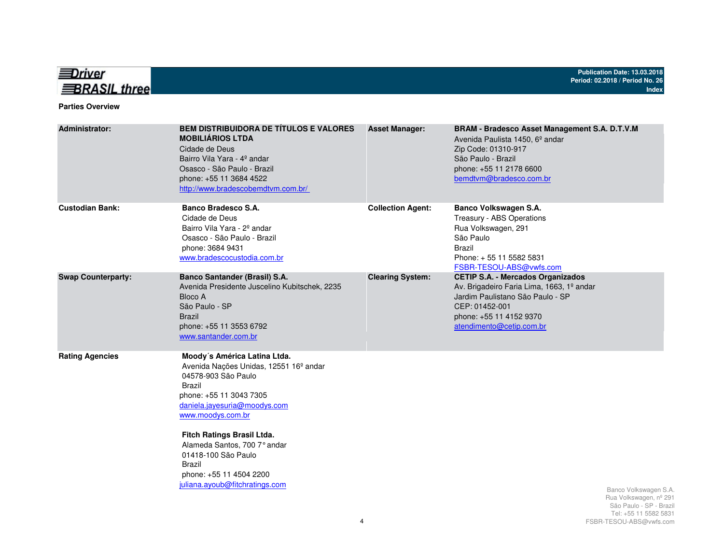

#### **Parties Overview**

| <b>Administrator:</b>     | <b>BEM DISTRIBUIDORA DE TÍTULOS E VALORES</b><br><b>MOBILIÁRIOS LTDA</b><br>Cidade de Deus<br>Bairro Vila Yara - 4º andar<br>Osasco - São Paulo - Brazil<br>phone: +55 11 3684 4522<br>http://www.bradescobemdtvm.com.br/                                                                                                                                              | <b>Asset Manager:</b>    | <b>BRAM - Bradesco Asset Management S.A. D.T.V.M</b><br>Avenida Paulista 1450, 6 <sup>°</sup> andar<br>Zip Code: 01310-917<br>São Paulo - Brazil<br>phone: +55 11 2178 6600<br>bemdtvm@bradesco.com.br |                                                                                                    |
|---------------------------|------------------------------------------------------------------------------------------------------------------------------------------------------------------------------------------------------------------------------------------------------------------------------------------------------------------------------------------------------------------------|--------------------------|--------------------------------------------------------------------------------------------------------------------------------------------------------------------------------------------------------|----------------------------------------------------------------------------------------------------|
| <b>Custodian Bank:</b>    | Banco Bradesco S.A.<br>Cidade de Deus<br>Bairro Vila Yara - 2 <sup>°</sup> andar<br>Osasco - São Paulo - Brazil<br>phone: 3684 9431<br>www.bradescocustodia.com.br                                                                                                                                                                                                     | <b>Collection Agent:</b> | Banco Volkswagen S.A.<br>Treasury - ABS Operations<br>Rua Volkswagen, 291<br>São Paulo<br><b>Brazil</b><br>Phone: +55 11 5582 5831<br>FSBR-TESOU-ABS@vwfs.com                                          |                                                                                                    |
| <b>Swap Counterparty:</b> | <b>Banco Santander (Brasil) S.A.</b><br>Avenida Presidente Juscelino Kubitschek, 2235<br>Bloco A<br>São Paulo - SP<br><b>Brazil</b><br>phone: +55 11 3553 6792<br>www.santander.com.br                                                                                                                                                                                 | <b>Clearing System:</b>  | <b>CETIP S.A. - Mercados Organizados</b><br>Av. Brigadeiro Faria Lima, 1663, 1º andar<br>Jardim Paulistano São Paulo - SP<br>CEP: 01452-001<br>phone: +55 11 4152 9370<br>atendimento@cetip.com.br     |                                                                                                    |
| <b>Rating Agencies</b>    | Moody's América Latina Ltda.<br>Avenida Nações Unidas, 12551 16 <sup>°</sup> andar<br>04578-903 São Paulo<br><b>Brazil</b><br>phone: +55 11 3043 7305<br>daniela.jayesuria@moodys.com<br>www.moodys.com.br<br>Fitch Ratings Brasil Ltda.<br>Alameda Santos, 700 7° andar<br>01418-100 São Paulo<br>Brazil<br>phone: +55 11 4504 2200<br>juliana.ayoub@fitchratings.com |                          |                                                                                                                                                                                                        | Banco Volkswagen S.A.<br>Rua Volkswagen, nº 291<br>São Paulo - SP - Brazil<br>Tel: 55 11 5582 5831 |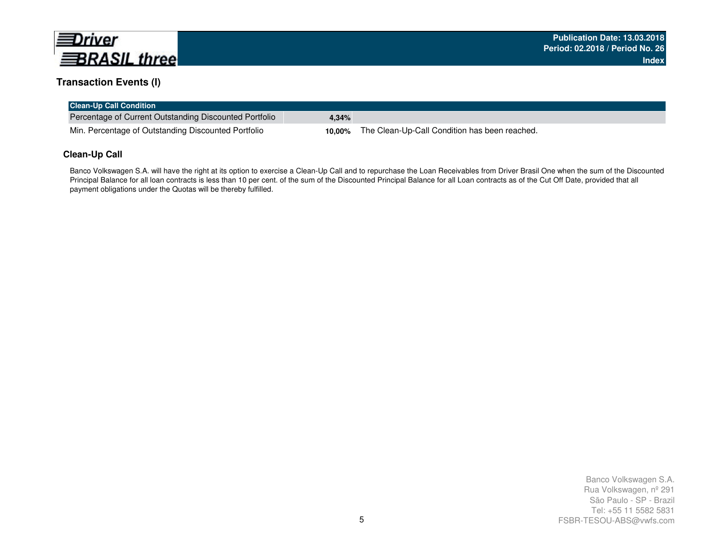

## **Transaction Events (I)**

| <b>Clean-Up Call Condition</b>                         |       |                                                             |
|--------------------------------------------------------|-------|-------------------------------------------------------------|
| Percentage of Current Outstanding Discounted Portfolio | 4.34% |                                                             |
| Min. Percentage of Outstanding Discounted Portfolio    |       | <b>10,00%</b> The Clean-Up-Call Condition has been reached. |

## **Clean-Up Call**

Banco Volkswagen S.A. will have the right at its option to exercise a Clean-Up Call and to repurchase the Loan Receivables from Driver Brasil One when the sum of the Discounted Principal Balance for all loan contracts is less than 10 per cent. of the sum of the Discounted Principal Balance for all Loan contracts as of the Cut Off Date, provided that all payment obligations under the Quotas will be thereby fulfilled.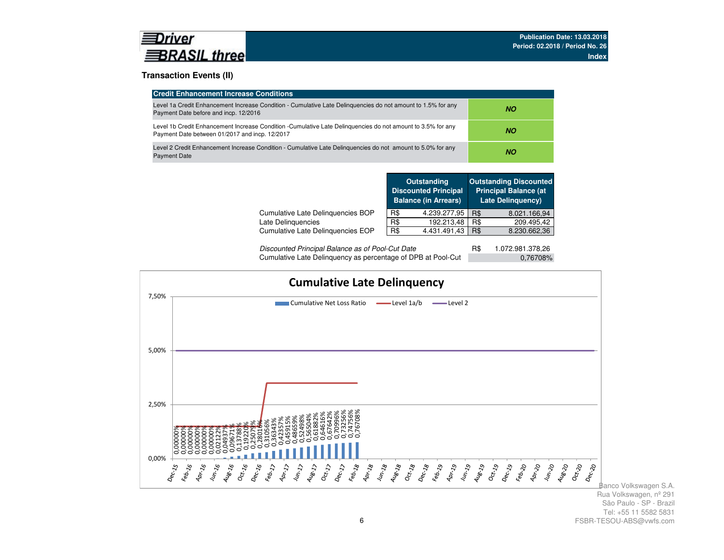### **Transaction Events (II)**

| <b>Credit Enhancement Increase Conditions</b>                                                                                                                 |           |
|---------------------------------------------------------------------------------------------------------------------------------------------------------------|-----------|
| Level 1a Credit Enhancement Increase Condition - Cumulative Late Delinguencies do not amount to 1.5% for any<br>Payment Date before and incp. 12/2016         | NO.       |
| Level 1b Credit Enhancement Increase Condition -Cumulative Late Delinguencies do not amount to 3.5% for any<br>Payment Date between 01/2017 and incp. 12/2017 | NO.       |
| Level 2 Credit Enhancement Increase Condition - Cumulative Late Delinguencies do not amount to 5.0% for any<br><b>Payment Date</b>                            | <b>NO</b> |

|                                   |     | <b>Outstanding</b><br><b>Discounted Principal</b><br><b>Balance (in Arrears)</b> |     | <b>Outstanding Discounted</b><br><b>Principal Balance (at</b><br><b>Late Delinguency)</b> |
|-----------------------------------|-----|----------------------------------------------------------------------------------|-----|-------------------------------------------------------------------------------------------|
| Cumulative Late Delinquencies BOP | R\$ | 4.239.277,95                                                                     | R\$ | 8.021.166,94                                                                              |
| Late Delinguencies                | R\$ | 192.213,48                                                                       | R\$ | 209.495,42                                                                                |
| Cumulative Late Delinguencies EOP | R\$ | 4.431.491.43                                                                     | R\$ | 8.230.662,36                                                                              |
|                                   |     |                                                                                  |     |                                                                                           |

| Discounted Principal Balance as of Pool-Cut Date             | 1.072.981.378,26 |
|--------------------------------------------------------------|------------------|
| Cumulative Late Delinguency as percentage of DPB at Pool-Cut | 0,76708%         |

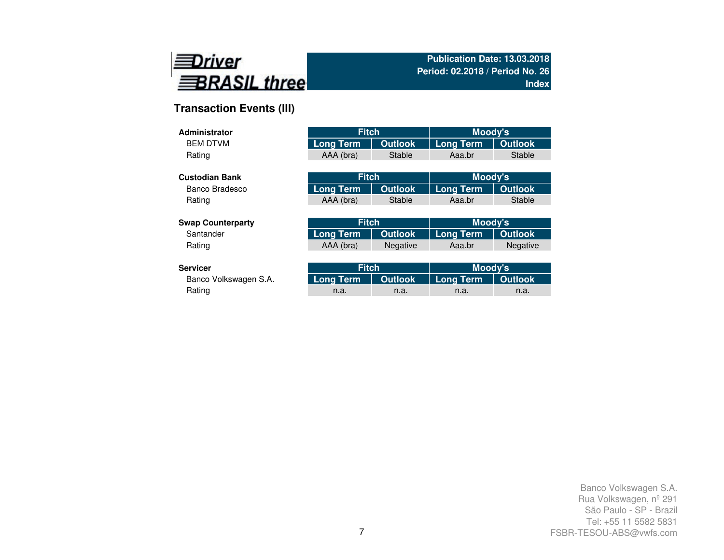

# **Transaction Events (III)**

| Administrator            | <b>Fitch</b>     |                | Moody's          |                 |
|--------------------------|------------------|----------------|------------------|-----------------|
| <b>BEM DTVM</b>          | <b>Long Term</b> | <b>Outlook</b> | <b>Long Term</b> | <b>Outlook</b>  |
| Rating                   | AAA (bra)        | <b>Stable</b>  | Aaa.br           | Stable          |
|                          |                  |                |                  |                 |
| <b>Custodian Bank</b>    | <b>Fitch</b>     |                | Moody's          |                 |
| Banco Bradesco           | Long Term        | <b>Outlook</b> | <b>Long Term</b> | <b>Outlook</b>  |
| Rating                   | AAA (bra)        | <b>Stable</b>  | Aaa.br           | Stable          |
|                          |                  |                |                  |                 |
| <b>Swap Counterparty</b> | <b>Fitch</b>     |                | Moody's          |                 |
| Santander                | <b>Long Term</b> | <b>Outlook</b> | <b>Long Term</b> | <b>Outlook</b>  |
| Rating                   | AAA (bra)        | Negative       | Aaa.br           | <b>Negative</b> |
|                          |                  |                |                  |                 |
| <b>Servicer</b>          | <b>Fitch</b>     |                | Moody's          |                 |
| Banco Volkswagen S.A.    | Long Term        | <b>Outlook</b> | <b>Long Term</b> | <b>Outlook</b>  |
| Rating                   | n.a.             | n.a.           | n.a.             | n.a.            |

Rating and the method of the method is a method in the method in the method in the method in  $n$  a. In the method in  $n$  a.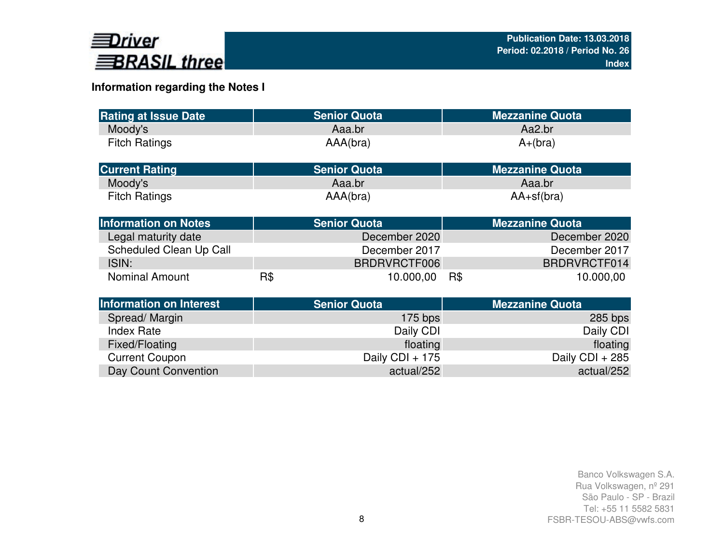

# **Information regarding the Notes I**

| <b>Rating at Issue Date</b>    |     | <b>Senior Quota</b> | <b>Mezzanine Quota</b> |
|--------------------------------|-----|---------------------|------------------------|
| Moody's                        |     | Aaa.br              | Aa2.br                 |
| <b>Fitch Ratings</b>           |     | AAA(bra)            | $A+(bra)$              |
| <b>Current Rating</b>          |     | <b>Senior Quota</b> | <b>Mezzanine Quota</b> |
| Moody's                        |     | Aaa.br              | Aaa.br                 |
| <b>Fitch Ratings</b>           |     | AAA(bra)            | $AA+sf(bra)$           |
| <b>Information on Notes</b>    |     | <b>Senior Quota</b> | <b>Mezzanine Quota</b> |
| Legal maturity date            |     | December 2020       | December 2020          |
| Scheduled Clean Up Call        |     | December 2017       | December 2017          |
| ISIN:                          |     | BRDRVRCTF006        | BRDRVRCTF014           |
| <b>Nominal Amount</b>          | R\$ | 10.000,00           | R\$<br>10.000,00       |
| <b>Information on Interest</b> |     | <b>Senior Quota</b> | <b>Mezzanine Quota</b> |
| Spread/Margin                  |     | $175$ bps           | $285$ bps              |
| <b>Index Rate</b>              |     | Daily CDI           | Daily CDI              |
| Fixed/Floating                 |     | floating            | floating               |
| <b>Current Coupon</b>          |     | Daily CDI + 175     | Daily CDI + 285        |
| Day Count Convention           |     | actual/252          | actual/252             |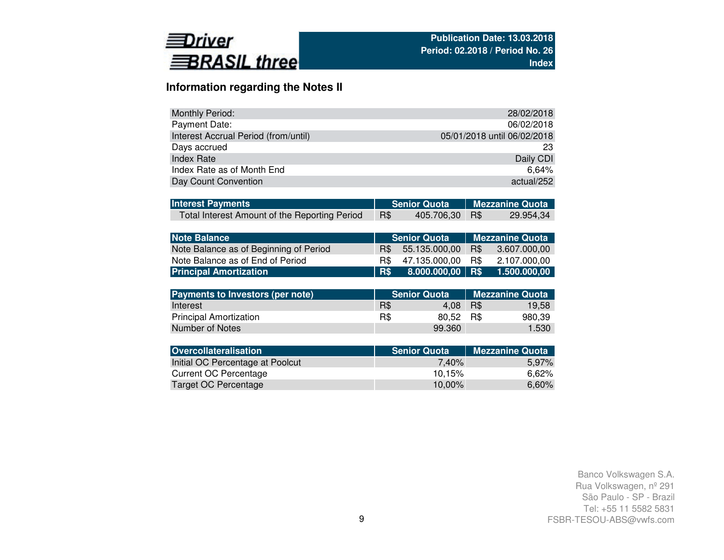

# **Information regarding the Notes II**

| Monthly Period:                      | 28/02/2018                  |
|--------------------------------------|-----------------------------|
| Payment Date:                        | 06/02/2018                  |
| Interest Accrual Period (from/until) | 05/01/2018 until 06/02/2018 |
| Days accrued                         | 23                          |
| Index Rate                           | Daily CDI                   |
| Index Rate as of Month End           | $6.64\%$                    |
| Day Count Convention                 | actual/252                  |

| <b>Interest Payments</b>                      |     |                | Senior Quota   Mezzanine Quota |           |  |  |
|-----------------------------------------------|-----|----------------|--------------------------------|-----------|--|--|
| Total Interest Amount of the Reporting Period | R\$ | 405.706,30 R\$ |                                | 29.954,34 |  |  |

| Note Balance                           |      | Senior Quota       | Mezzanine Quota |              |  |  |  |
|----------------------------------------|------|--------------------|-----------------|--------------|--|--|--|
| Note Balance as of Beginning of Period | R\$  | 55.135.000.00      | R\$             | 3.607.000.00 |  |  |  |
| Note Balance as of End of Period       | B\$. | 47.135.000.00      | - R\$           | 2.107.000.00 |  |  |  |
| <b>Principal Amortization</b>          | R\$  | $8.000.000,00$ R\$ |                 | 1.500.000.00 |  |  |  |

| Payments to Investors (per note) |     | <b>Senior Quota</b> | <b>Mezzanine Quota</b> |        |  |  |
|----------------------------------|-----|---------------------|------------------------|--------|--|--|
| Interest                         | R\$ | 4.08                | R\$                    | 19.58  |  |  |
| <b>Principal Amortization</b>    | R\$ | 80.52 R\$           |                        | 980.39 |  |  |
| Number of Notes                  |     | 99.360              |                        | 1.530  |  |  |

| <b>Senior Quota</b> | <b>Mezzanine Quota</b> |
|---------------------|------------------------|
| 7.40%               | 5.97%                  |
| 10.15%              | 6.62%                  |
| 10.00%              | 6,60%                  |
|                     |                        |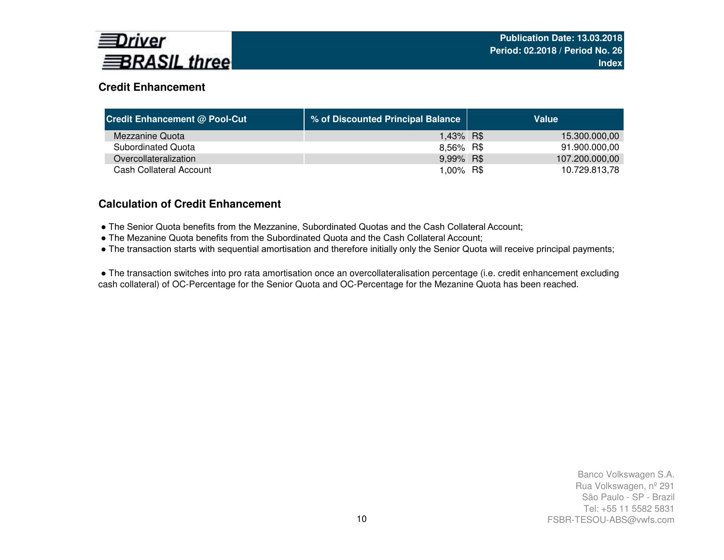

# **Credit Enhancement**

| <b>Credit Enhancement @ Pool-Cut</b> | % of Discounted Principal Balance | Value          |
|--------------------------------------|-----------------------------------|----------------|
| Mezzanine Quota                      | 1,43% R\$                         | 15.300.000,00  |
| Subordinated Quota                   | 8,56% R\$                         | 91.900.000,00  |
| Overcollateralization                | 9,99% R\$                         | 107.200.000,00 |
| Cash Collateral Account              | 1,00% R\$                         | 10.729.813,78  |

# **Calculation of Credit Enhancement**

- The Senior Quota benefits from the Mezzanine, Subordinated Quotas and the Cash Collateral Account;
- The Mezanine Quota benefits from the Subordinated Quota and the Cash Collateral Account;
- The transaction starts with sequential amortisation and therefore initially only the Senior Quota will receive principal payments;

● The transaction switches into pro rata amortisation once an overcollateralisation percentage (i.e. credit enhancement excluding cash collateral) of OC-Percentage for the Senior Quota and OC-Percentage for the Mezanine Quota has been reached.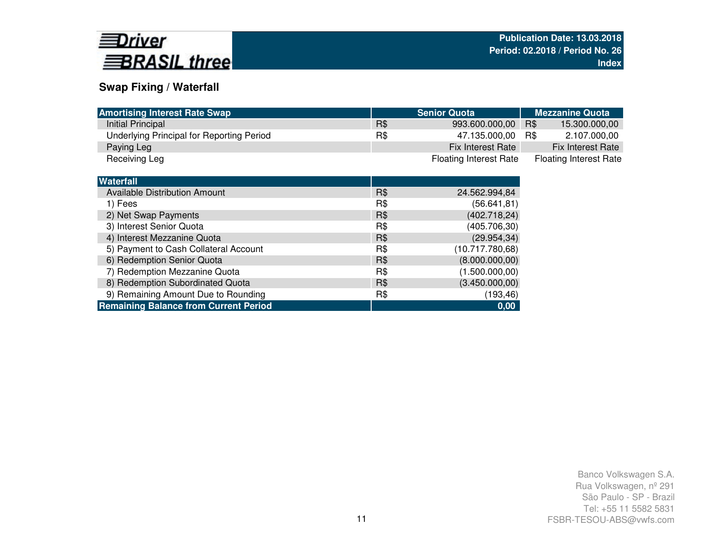

# **Swap Fixing / Waterfall**

| <b>Amortising Interest Rate Swap</b>      |     | <b>Senior Quota</b>           | <b>Mezzanine Quota</b>        |  |  |  |
|-------------------------------------------|-----|-------------------------------|-------------------------------|--|--|--|
| Initial Principal                         | R\$ | 993.600.000,00                | R\$<br>15.300.000,00          |  |  |  |
| Underlying Principal for Reporting Period | R\$ | 47.135.000,00                 | R\$<br>2.107.000,00           |  |  |  |
| Paying Leg                                |     | Fix Interest Rate             | <b>Fix Interest Rate</b>      |  |  |  |
| Receiving Leg                             |     | <b>Floating Interest Rate</b> | <b>Floating Interest Rate</b> |  |  |  |

| R\$<br><b>Available Distribution Amount</b><br>24.562.994,84<br>R\$<br>(56.641, 81)<br>1) Fees<br>2) Net Swap Payments<br>R\$<br>3) Interest Senior Quota<br>R\$<br>(405.706,30)<br>4) Interest Mezzanine Quota<br>R\$<br>5) Payment to Cash Collateral Account<br>R\$<br>(10.717.780,68)<br>6) Redemption Senior Quota<br>R\$<br>7) Redemption Mezzanine Quota<br>R\$<br>(1.500.000,00)<br>8) Redemption Subordinated Quota<br>R\$<br>9) Remaining Amount Due to Rounding<br>R\$<br>(193, 46)<br>0,00 | Waterfall                                    |                 |
|--------------------------------------------------------------------------------------------------------------------------------------------------------------------------------------------------------------------------------------------------------------------------------------------------------------------------------------------------------------------------------------------------------------------------------------------------------------------------------------------------------|----------------------------------------------|-----------------|
|                                                                                                                                                                                                                                                                                                                                                                                                                                                                                                        |                                              |                 |
|                                                                                                                                                                                                                                                                                                                                                                                                                                                                                                        |                                              |                 |
|                                                                                                                                                                                                                                                                                                                                                                                                                                                                                                        |                                              | (402.718, 24)   |
|                                                                                                                                                                                                                                                                                                                                                                                                                                                                                                        |                                              |                 |
|                                                                                                                                                                                                                                                                                                                                                                                                                                                                                                        |                                              | (29.954, 34)    |
|                                                                                                                                                                                                                                                                                                                                                                                                                                                                                                        |                                              |                 |
|                                                                                                                                                                                                                                                                                                                                                                                                                                                                                                        |                                              | (8.000.000, 00) |
|                                                                                                                                                                                                                                                                                                                                                                                                                                                                                                        |                                              |                 |
|                                                                                                                                                                                                                                                                                                                                                                                                                                                                                                        |                                              | (3.450.000,00)  |
|                                                                                                                                                                                                                                                                                                                                                                                                                                                                                                        |                                              |                 |
|                                                                                                                                                                                                                                                                                                                                                                                                                                                                                                        | <b>Remaining Balance from Current Period</b> |                 |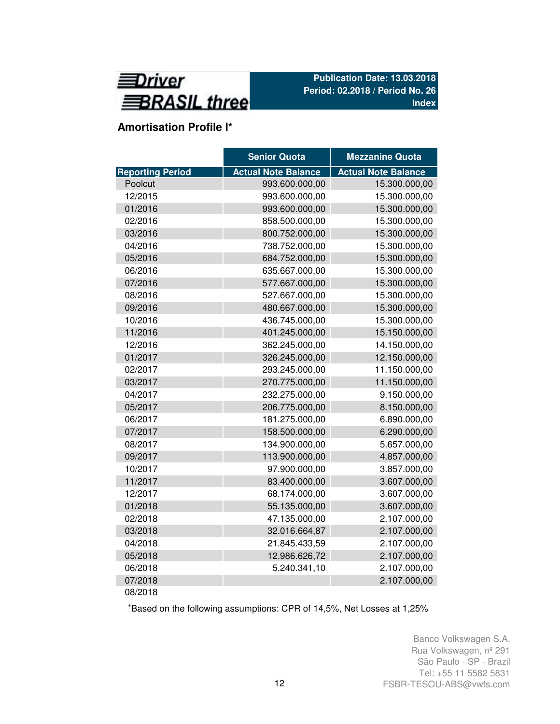

# **Amortisation Profile I\***

|                         | <b>Senior Quota</b>        | <b>Mezzanine Quota</b>     |
|-------------------------|----------------------------|----------------------------|
| <b>Reporting Period</b> | <b>Actual Note Balance</b> | <b>Actual Note Balance</b> |
| Poolcut                 | 993.600.000,00             | 15.300.000,00              |
| 12/2015                 | 993.600.000,00             | 15.300.000,00              |
| 01/2016                 | 993.600.000,00             | 15.300.000,00              |
| 02/2016                 | 858.500.000,00             | 15.300.000,00              |
| 03/2016                 | 800.752.000,00             | 15.300.000,00              |
| 04/2016                 | 738.752.000,00             | 15.300.000,00              |
| 05/2016                 | 684.752.000,00             | 15.300.000,00              |
| 06/2016                 | 635.667.000,00             | 15.300.000,00              |
| 07/2016                 | 577.667.000,00             | 15.300.000,00              |
| 08/2016                 | 527.667.000,00             | 15.300.000,00              |
| 09/2016                 | 480.667.000,00             | 15.300.000,00              |
| 10/2016                 | 436.745.000,00             | 15.300.000,00              |
| 11/2016                 | 401.245.000,00             | 15.150.000,00              |
| 12/2016                 | 362.245.000,00             | 14.150.000,00              |
| 01/2017                 | 326.245.000,00             | 12.150.000,00              |
| 02/2017                 | 293.245.000,00             | 11.150.000,00              |
| 03/2017                 | 270.775.000,00             | 11.150.000,00              |
| 04/2017                 | 232.275.000,00             | 9.150.000,00               |
| 05/2017                 | 206.775.000,00             | 8.150.000,00               |
| 06/2017                 | 181.275.000,00             | 6.890.000,00               |
| 07/2017                 | 158.500.000,00             | 6.290.000,00               |
| 08/2017                 | 134.900.000,00             | 5.657.000,00               |
| 09/2017                 | 113.900.000,00             | 4.857.000,00               |
| 10/2017                 | 97.900.000,00              | 3.857.000,00               |
| 11/2017                 | 83.400.000,00              | 3.607.000,00               |
| 12/2017                 | 68.174.000,00              | 3.607.000,00               |
| 01/2018                 | 55.135.000,00              | 3.607.000,00               |
| 02/2018                 | 47.135.000,00              | 2.107.000,00               |
| 03/2018                 | 32.016.664,87              | 2.107.000,00               |
| 04/2018                 | 21.845.433,59              | 2.107.000,00               |
| 05/2018                 | 12.986.626,72              | 2.107.000,00               |
| 06/2018                 | 5.240.341,10               | 2.107.000,00               |
| 07/2018                 |                            | 2.107.000,00               |
| 08/2018                 |                            |                            |

<sup>+</sup>Based on the following assumptions: CPR of 14,5%, Net Losses at 1,25%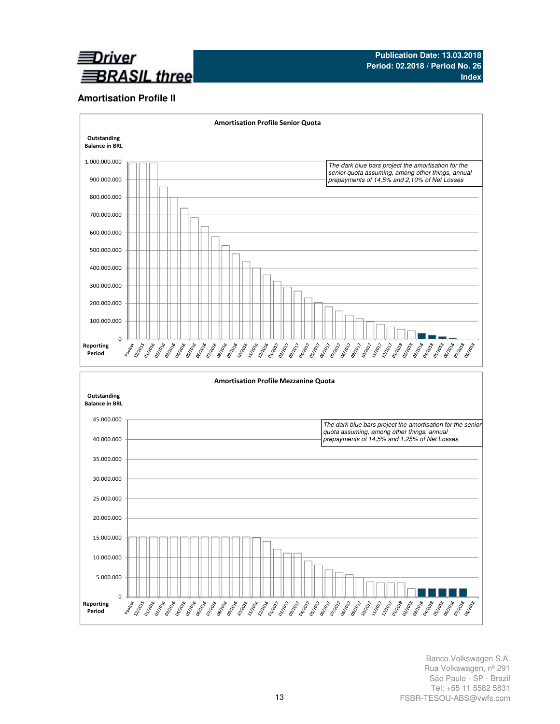

## **Amortisation Profile II**

Reporting Period



Banco Volkswagen S.A. Rua Volkswagen, nº 291 São Paulo - SP - Brazil Tel: +55 11 5582 5831 FSBR-TESOU-ABS@vwfs.com

**PROTECTION**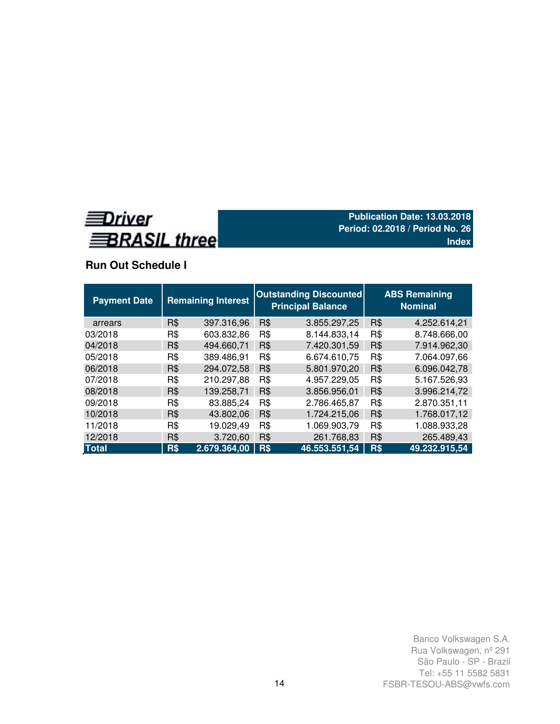

# **Run Out Schedule I**

| <b>Payment Date</b> |     | <b>Outstanding Discounted</b><br><b>Remaining Interest</b><br><b>Principal Balance</b> |     |               |     | <b>ABS Remaining</b><br><b>Nominal</b> |  |  |  |  |
|---------------------|-----|----------------------------------------------------------------------------------------|-----|---------------|-----|----------------------------------------|--|--|--|--|
| arrears             | R\$ | 397.316,96                                                                             | R\$ | 3.855.297,25  | R\$ | 4.252.614,21                           |  |  |  |  |
| 03/2018             | R\$ | 603.832,86                                                                             | R\$ | 8.144.833,14  | R\$ | 8.748.666,00                           |  |  |  |  |
| 04/2018             | R\$ | 494.660,71                                                                             | R\$ | 7.420.301,59  | R\$ | 7.914.962,30                           |  |  |  |  |
| 05/2018             | R\$ | 389.486,91                                                                             | R\$ | 6.674.610.75  | R\$ | 7.064.097.66                           |  |  |  |  |
| 06/2018             | R\$ | 294.072,58                                                                             | R\$ | 5.801.970,20  | R\$ | 6.096.042,78                           |  |  |  |  |
| 07/2018             | R\$ | 210.297,88                                                                             | R\$ | 4.957.229,05  | R\$ | 5.167.526,93                           |  |  |  |  |
| 08/2018             | R\$ | 139.258,71                                                                             | R\$ | 3.856.956,01  | R\$ | 3.996.214,72                           |  |  |  |  |
| 09/2018             | R\$ | 83.885,24                                                                              | R\$ | 2.786.465,87  | R\$ | 2.870.351,11                           |  |  |  |  |
| 10/2018             | R\$ | 43.802,06                                                                              | R\$ | 1.724.215,06  | R\$ | 1.768.017,12                           |  |  |  |  |
| 11/2018             | R\$ | 19.029,49                                                                              | R\$ | 1.069.903.79  | R\$ | 1.088.933,28                           |  |  |  |  |
| 12/2018             | R\$ | 3.720,60                                                                               | R\$ | 261.768,83    | R\$ | 265.489,43                             |  |  |  |  |
| <b>Total</b>        | R\$ | 2.679.364,00                                                                           | R\$ | 46.553.551,54 | R\$ | 49.232.915,54                          |  |  |  |  |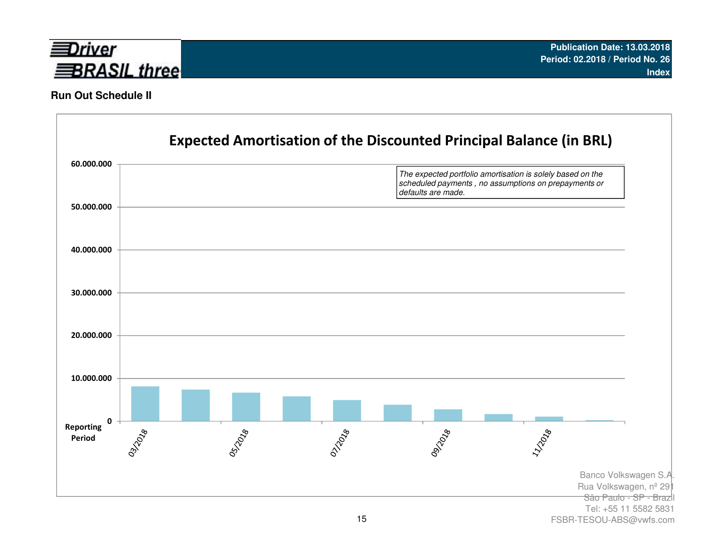

## **Run Out Schedule II**



FSBR-TESOU-ABS@vwfs.com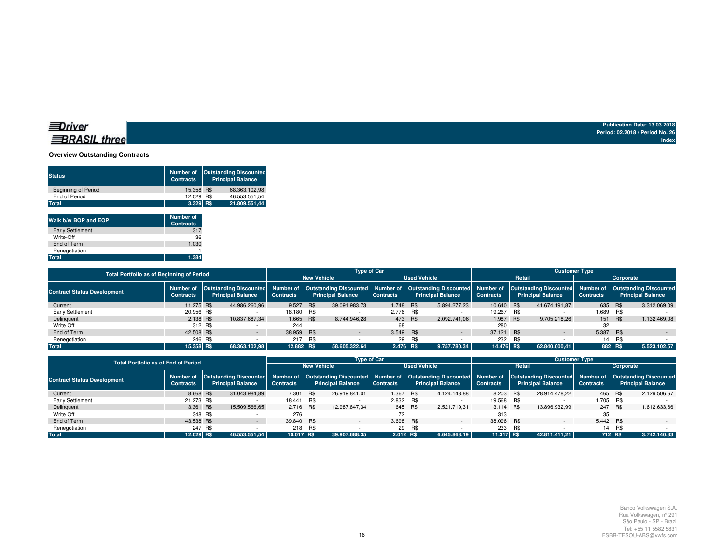## **BRASIL** three

**Publication Date: 13.03.2018 Period: 02.2018 / Period No. 26Index**

### **Overview Outstanding Contracts**

| <b>Principal Balance</b>             |
|--------------------------------------|
| 68.363.102.98                        |
| 46.553.551.54                        |
| 21.809.551.44                        |
| 15.358 R\$<br>12.029 R\$<br>3.329 RS |

| Walk b/w BOP and EOP    | <b>Number of</b><br><b>Contracts</b> |
|-------------------------|--------------------------------------|
| <b>Early Settlement</b> | 317                                  |
| Write-Off               | 36                                   |
| End of Term             | 1.030                                |
| Renegotiation           |                                      |
| Total                   | 1.384                                |

| <b>Total Portfolio as of Beginning of Period</b> |                                                                |                          |               | <b>Type of Car</b> |            |                          |                     |     |                                                                                                                                                       | <b>Customer Type</b> |        |                          |                  |     |                          |  |
|--------------------------------------------------|----------------------------------------------------------------|--------------------------|---------------|--------------------|------------|--------------------------|---------------------|-----|-------------------------------------------------------------------------------------------------------------------------------------------------------|----------------------|--------|--------------------------|------------------|-----|--------------------------|--|
|                                                  |                                                                |                          |               |                    |            | <b>New Vehicle</b>       | <b>Used Vehicle</b> |     |                                                                                                                                                       |                      | Retail | Corporate                |                  |     |                          |  |
| <b>Contract Status Development</b>               | Number of Outstanding Discounted Number of<br><b>Contracts</b> | <b>Principal Balance</b> |               | <b>Contracts</b>   |            | <b>Principal Balance</b> | <b>Contracts</b>    |     | Outstanding Discounted Number of Outstanding Discounted Number of Outstanding Discounted Number of Outstanding Discounted<br><b>Principal Balance</b> | <b>Contracts</b>     |        | <b>Principal Balance</b> | <b>Contracts</b> |     | <b>Principal Balance</b> |  |
| Current                                          | 11.275 R\$                                                     |                          | 44.986.260.96 | 9.527 R\$          |            | 39.091.983.73            | 1.748 R\$           |     | 5.894.277.23                                                                                                                                          | 10.640 R\$           |        | 41.674.191.87            | 635 R\$          |     | 3.312.069.09             |  |
| Early Settlement                                 | 20.956 R\$                                                     |                          |               | 18.180 R\$         |            |                          | 2.776 R\$           |     |                                                                                                                                                       | 19.267 R\$           |        |                          | 1.689 R\$        |     |                          |  |
| Delinquent                                       | 2.138 R\$                                                      |                          | 10.837.687.34 | 1.665 R\$          |            | 8.744.946.28             | 473 R\$             |     | 2.092.741.06                                                                                                                                          | 1.987 R\$            |        | 9.705.218.26             | 151 R\$          |     | 1.132.469.08             |  |
| Write Off                                        | 312 R\$                                                        |                          |               | 244                |            |                          | 68                  |     |                                                                                                                                                       | 280                  |        |                          | 32               |     |                          |  |
| End of Term                                      | 42,508 R\$                                                     |                          |               | 38.959             | <b>R\$</b> | $\sim$                   | 3.549 R\$           |     | $\sim$                                                                                                                                                | 37.121 R\$           |        | $\sim$                   | 5.387 R\$        |     | $\sim$                   |  |
| Renegotiation                                    | 246 R\$                                                        |                          |               | 217                | R\$        |                          | 29                  | R\$ |                                                                                                                                                       | 232                  | R\$    |                          | 14               | R\$ |                          |  |
| <b>Total</b>                                     | 15,358 RS                                                      |                          | 68.363.102.98 | 12.882 R\$         |            | 58.605.322.64            | $2.476$ R\$         |     | 9.757.780.34                                                                                                                                          | 14.476 R\$           |        | 62.840.000.41            | 882 R\$          |     | 5.523.102,57             |  |

|                                    | <b>Total Portfolio as of End of Period</b> |                    |                          |                  |     |                          | <b>Type of Car</b>  |         |                                                                                                                                                                                                                         | <b>Customer Type</b> |     |                          |                  |        |                          |  |
|------------------------------------|--------------------------------------------|--------------------|--------------------------|------------------|-----|--------------------------|---------------------|---------|-------------------------------------------------------------------------------------------------------------------------------------------------------------------------------------------------------------------------|----------------------|-----|--------------------------|------------------|--------|--------------------------|--|
|                                    |                                            | <b>New Vehicle</b> |                          |                  |     |                          | <b>Used Vehicle</b> |         | Retail                                                                                                                                                                                                                  |                      |     | Corporate                |                  |        |                          |  |
| <b>Contract Status Development</b> | Number of<br><b>Contracts</b>              |                    | <b>Principal Balance</b> | <b>Contracts</b> |     | <b>Principal Balance</b> | <b>Contracts</b>    |         | Outstanding Discounted Number of Outstanding Discounted Number of Outstanding Discounted Number of Outstanding Discounted Number of Outstanding Discounted Number of Outstanding Discounted<br><b>Principal Balance</b> | <b>Contracts</b>     |     | <b>Principal Balance</b> | <b>Contracts</b> |        | <b>Principal Balance</b> |  |
| Current                            | 8.668 R\$                                  |                    | 31.043.984.89            | 7.301            | R\$ | 26.919.841.01            | 1.367               | R\$     | 4.124.143.88                                                                                                                                                                                                            | 8.203 R\$            |     | 28.914.478.22            | 465 R\$          |        | 2.129.506.67             |  |
| Early Settlement                   | 21.273 R\$                                 |                    |                          | 18.441 R\$       |     |                          | 2.832 R\$           |         |                                                                                                                                                                                                                         | 19.568 R\$           |     |                          | 1.705 R\$        |        |                          |  |
| Delinquent                         | 3.361 R\$                                  |                    | 15.509.566,65            | 2.716 R\$        |     | 12.987.847.34            |                     | 645 R\$ | 2.521.719.31                                                                                                                                                                                                            | 3.114 R\$            |     | 13.896.932.99            | 247 R\$          |        | 1.612.633.66             |  |
| Write Off                          |                                            | 348 R\$            |                          | 276              |     |                          | 72                  |         |                                                                                                                                                                                                                         | 313                  |     |                          | 35               |        |                          |  |
| End of Term                        | 43.538 R\$                                 |                    |                          | 39.840 R\$       |     |                          | 3.698 R\$           |         |                                                                                                                                                                                                                         | 38.096 R\$           |     |                          | 5.442 R\$        |        |                          |  |
| Renegotiation                      |                                            | 247 R\$            |                          | 218              | R\$ |                          |                     | 29 R\$  |                                                                                                                                                                                                                         | 233                  | R\$ |                          |                  | 14 R\$ |                          |  |
| <b>Total</b>                       | 12.029 RS                                  |                    | 46.553.551.54            | 10.017 R\$       |     | 39.907.688.35            | 2.012 R\$           |         | 6.645.863.19                                                                                                                                                                                                            | 11.317 R\$           |     | 42.811.411.21            | 712 R\$          |        | 3.742.140.33             |  |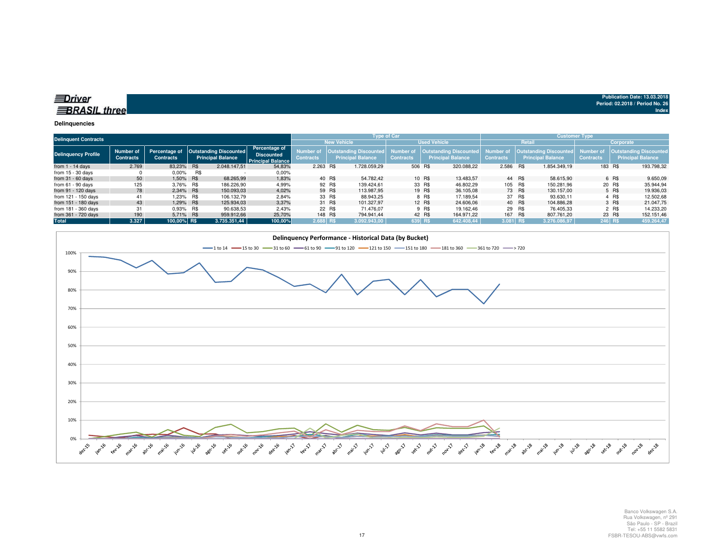## $\equiv$ Driver **BRASIL three**

#### **Delinquencies**

|                            | <b>Delinquent Contracts</b>   |                                   |            |                                                           |                                                                       |                              |         | <b>Type of Car</b>                                         |                              |        |                                                    | <b>Customer Type</b>                 |        |                                                           |                               |           |                                                           |  |
|----------------------------|-------------------------------|-----------------------------------|------------|-----------------------------------------------------------|-----------------------------------------------------------------------|------------------------------|---------|------------------------------------------------------------|------------------------------|--------|----------------------------------------------------|--------------------------------------|--------|-----------------------------------------------------------|-------------------------------|-----------|-----------------------------------------------------------|--|
|                            |                               |                                   |            |                                                           |                                                                       |                              |         | <b>New Vehicle</b>                                         | <b>Used Vehicle</b>          |        |                                                    |                                      | Retail |                                                           |                               | Corporate |                                                           |  |
| <b>Delinquency Profile</b> | Number of<br><b>Contracts</b> | Percentage of<br><b>Contracts</b> |            | <b>Outstanding Discounted</b><br><b>Principal Balance</b> | <b>Percentage of</b><br><b>Discounted</b><br><b>Principal Balance</b> | Number o<br><b>Contracts</b> |         | <b>Outstanding Discounted,</b><br><b>Principal Balance</b> | Number o<br><b>Contracts</b> |        | Outstanding Discounted<br><b>Principal Balance</b> | <b>Number of</b><br><b>Contracts</b> |        | <b>Outstanding Discounted</b><br><b>Principal Balance</b> | Number of<br><b>Contracts</b> |           | <b>Outstanding Discounted</b><br><b>Principal Balance</b> |  |
| from $1 - 14$ days         | 2.769                         | 83.23%                            | <b>R\$</b> | 2.048.147.51                                              | 54,83%                                                                | 2.263 R\$                    |         | 1.728.059.29                                               | 506 R\$                      |        | 320.088.22                                         | 2.586 R\$                            |        | 1.854.349.19                                              | 183 R\$                       |           | 193.798,32                                                |  |
| from $15 - 30$ days        |                               | $0.00\%$                          | R\$        |                                                           | $0.00\%$                                                              |                              |         |                                                            |                              |        |                                                    |                                      |        |                                                           |                               |           |                                                           |  |
| from $31 - 60$ days        | 50                            | 1.50% R\$                         |            | 68.265.99                                                 | 1,83%                                                                 |                              | 40 R\$  | 54.782.42                                                  |                              | 10 R\$ | 13.483.57                                          | 44 R\$                               |        | 58.615.90                                                 |                               | 6 R\$     | 9.650,09                                                  |  |
| from $61 - 90$ days        | 125                           | 3,76% R\$                         |            | 186.226,90                                                | 4,99%                                                                 |                              | 92 R\$  | 139.424.61                                                 |                              | 33 R\$ | 46.802,29                                          | 105 R\$                              |        | 150.281.96                                                |                               | 20 R\$    | 35.944,94                                                 |  |
| from 91 - 120 days         | 78                            | 2.34% R\$                         |            | 150.093.03                                                | 4,02%                                                                 |                              | 59 R\$  | 113.987.95                                                 |                              | 19 R\$ | 36,105.08                                          |                                      | 73 R\$ | 130.157.00                                                |                               | 5 R\$     | 19.936.03                                                 |  |
| from 121 - 150 days        | 41                            |                                   | 1,23% R\$  | 106.132,79                                                | 2,84%                                                                 |                              | 33 R\$  | 88.943,25                                                  |                              | 8 R\$  | 17.189.54                                          |                                      | 37 R\$ | 93.630,11                                                 |                               | 4 R\$     | 12.502,68                                                 |  |
| from 151 - 180 days        | 43                            | 1.29% R\$                         |            | 125.934.03                                                | 3,37%                                                                 |                              | 31 R\$  | 101.327.97                                                 |                              | 12 R\$ | 24,606.06                                          |                                      | 40 R\$ | 104.886.28                                                |                               | 3 R\$     | 21.047.75                                                 |  |
| from 181 - 360 days        | 31                            | 0.93% R\$                         |            | 90.638,53                                                 | 2,43%                                                                 |                              | 22 R\$  | 71.476.07                                                  |                              | 9 R\$  | 19.162.46                                          |                                      | 29 R\$ | 76.405.33                                                 |                               | 2 R\$     | 14.233.20                                                 |  |
| from 361 - 720 days        | 190                           | 5.71% R\$                         |            | 959.912.66                                                | 25,70%                                                                |                              | 148 R\$ | 794.941.44                                                 |                              | 42 R\$ | 164.971.22                                         | 167 R\$                              |        | 807.761.20                                                |                               | 23 R\$    | 152.151,46                                                |  |
| <b>Total</b>               | 3.327                         | 100.00% R\$                       |            | 3.735.351.44                                              | 100,00%                                                               | 2.688 R\$                    |         | 3.092.943.00                                               | 639 R\$                      |        | 642.408.44                                         | $3.081$ R\$                          |        | 3.276.086.97                                              | 246 RS                        |           | 459.264,47                                                |  |



**Publication Date: 13.03.2018Period: 02.2018 / Period No. 26**

**Index**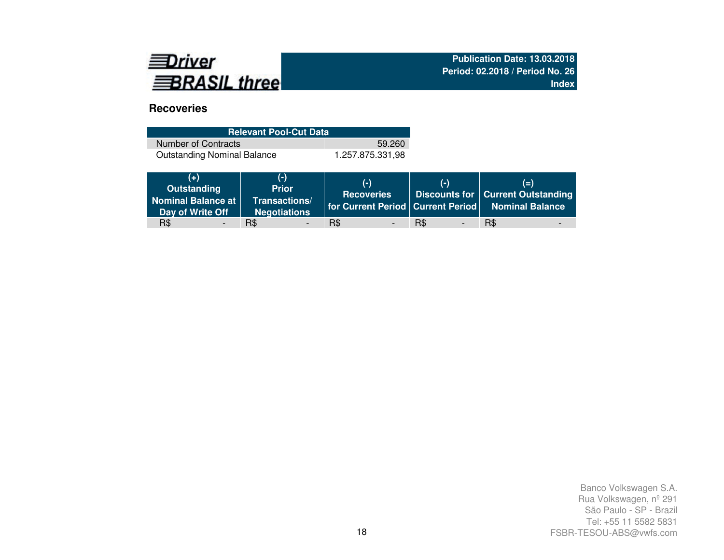

# **Recoveries**

| <b>Relevant Pool-Cut Data</b>      |                  |  |  |  |  |  |  |  |
|------------------------------------|------------------|--|--|--|--|--|--|--|
| Number of Contracts                | 59.260           |  |  |  |  |  |  |  |
| <b>Outstanding Nominal Balance</b> | 1.257.875.331.98 |  |  |  |  |  |  |  |

| $(+)$<br>Outstanding<br>Nominal Balance at<br>Day of Write Off | (-)<br><b>Prior</b><br>Transactions/<br><b>Negotiations</b> | $(-)$<br><b>Recoveries</b> | $(-)$                           | $(=)$<br><b>Discounts for Current Outstanding</b><br>for Current Period   Current Period   Nominal Balance |
|----------------------------------------------------------------|-------------------------------------------------------------|----------------------------|---------------------------------|------------------------------------------------------------------------------------------------------------|
| R\$                                                            | R\$                                                         | R\$                        | R\$<br>$\overline{\phantom{0}}$ | R\$                                                                                                        |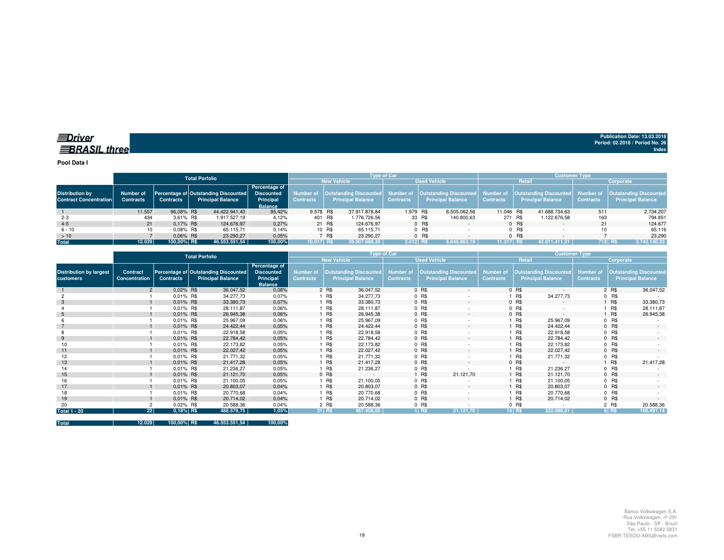**Pool Data I**

|                                                         |                               | <b>Total Porfolio</b> |  |                                                                  |                                                                   |            |        |                          | <b>Type of Car</b> |        |                                                                                                       | <b>Customer Type</b> |         |                                                                  |                               |                                                           |  |
|---------------------------------------------------------|-------------------------------|-----------------------|--|------------------------------------------------------------------|-------------------------------------------------------------------|------------|--------|--------------------------|--------------------|--------|-------------------------------------------------------------------------------------------------------|----------------------|---------|------------------------------------------------------------------|-------------------------------|-----------------------------------------------------------|--|
|                                                         |                               |                       |  |                                                                  |                                                                   |            |        | <b>New Vehicle</b>       |                    |        | <b>Used Vehicle</b>                                                                                   |                      | Retail  |                                                                  | Corporate                     |                                                           |  |
| <b>Distribution by</b><br><b>Contract Concentration</b> | Number of<br><b>Contracts</b> | <b>Contracts</b>      |  | Percentage of Outstanding Discounted<br><b>Principal Balance</b> | Percentage of<br><b>Discounted</b><br>Principal<br><b>Balance</b> | Contracts  |        | <b>Principal Balance</b> | <b>Contracts</b>   |        | Number of   Outstanding Discounted   Number of   Outstanding Discounted  <br><b>Principal Balance</b> | <b>Contracts</b>     |         | Number of   Outstanding Discounted  <br><b>Principal Balance</b> | Number of<br><b>Contracts</b> | <b>Outstanding Discounted</b><br><b>Principal Balance</b> |  |
|                                                         | 11.557                        | 96.08% R\$            |  | 44.422.941.40                                                    | 95.42%                                                            | 9.578 R\$  |        | 37.917.878.84            | 1.979 R\$          |        | 6.505.062,56                                                                                          | 11.046 R\$           |         | 41.688.734.63                                                    | 511                           | 2.734.207                                                 |  |
| $2 - 3$                                                 | 434                           | 3.61% R\$             |  | 1.917.527.19                                                     | 4,12%                                                             | 401 R\$    |        | 1.776.726.56             |                    | 33 R\$ | 140.800,63                                                                                            | 271 R\$              |         | 1.122.676,58                                                     | 163                           | 794.851                                                   |  |
| $4 - 5$                                                 | 21                            | $0.17\%$ R\$          |  | 124.676,97                                                       | 0,27%                                                             |            | 21 R\$ | 124.676.97               |                    | 0 R\$  |                                                                                                       |                      | 0 R\$   |                                                                  | 21                            | 124.677                                                   |  |
| $6 - 10$                                                |                               | $0.08\%$ R\$          |  | 65.115.71                                                        | 0,14%                                                             |            | 10 R\$ | 65.115.71                |                    | 0 R\$  |                                                                                                       |                      | $0$ R\$ |                                                                  |                               | 65.116                                                    |  |
| >10                                                     |                               | $0.06\%$ R\$          |  | 23.290.27                                                        | 0,05%                                                             |            | 7 R\$  | 23.290.27                |                    | 0 R\$  |                                                                                                       |                      | $0$ R\$ |                                                                  |                               | 23.290                                                    |  |
| <b>Total</b>                                            | 12.029                        | 100.00% R\$           |  | 46.553.551,54                                                    | 100,00%                                                           | 10.017 R\$ |        | 39.907.688.35            | $2.012$ RS         |        | 6.645.863.19                                                                                          | $11.317$ RS          |         | 42.811.411.21                                                    |                               | $712$ RS<br>3.742.140,33                                  |  |

|                                             |                           | Type of Car      |                                                                  |                                                                   |                                      |            |                                                           | <b>Customer Type</b>                 |         |                                                           |                                      |         |                                                           |                                      |         |                                                           |
|---------------------------------------------|---------------------------|------------------|------------------------------------------------------------------|-------------------------------------------------------------------|--------------------------------------|------------|-----------------------------------------------------------|--------------------------------------|---------|-----------------------------------------------------------|--------------------------------------|---------|-----------------------------------------------------------|--------------------------------------|---------|-----------------------------------------------------------|
|                                             |                           |                  | <b>Total Porfolio</b>                                            |                                                                   |                                      |            | <b>New Vehicle</b>                                        |                                      |         | <b>Used Vehicle</b>                                       |                                      |         | Retail                                                    | Corporate                            |         |                                                           |
| <b>Distribution by largest</b><br>customers | Contract<br>Concentration | <b>Contracts</b> | Percentage of Outstanding Discounted<br><b>Principal Balance</b> | Percentage of<br><b>Discounted</b><br>Principal<br><b>Balance</b> | <b>Number of</b><br><b>Contracts</b> |            | <b>Outstanding Discounted</b><br><b>Principal Balance</b> | <b>Number of</b><br><b>Contracts</b> |         | <b>Outstanding Discounted</b><br><b>Principal Balance</b> | <b>Number of</b><br><b>Contracts</b> |         | <b>Outstanding Discounted</b><br><b>Principal Balance</b> | <b>Number of</b><br><b>Contracts</b> |         | <b>Outstanding Discounted</b><br><b>Principal Balance</b> |
|                                             | $\overline{2}$            | 0.02% R\$        | 36.047,52                                                        | 0,08%                                                             |                                      | 2 R\$      | 36.047,52                                                 |                                      | 0 R\$   | $\sim$                                                    |                                      | $0$ R\$ |                                                           |                                      | 2 R\$   | 36.047,52                                                 |
|                                             |                           | 0,01% R\$        | 34.277,73                                                        | 0,07%                                                             |                                      | 1 R\$      | 34.277,73                                                 |                                      | 0 R\$   |                                                           |                                      | R\$     | 34.277,73                                                 |                                      | $0$ R\$ |                                                           |
|                                             |                           | 0.01% R\$        | 33.380,73                                                        | 0,07%                                                             |                                      | 1 R\$      | 33.380,73                                                 |                                      | 0 R\$   | $\sim$                                                    |                                      | 0 R\$   | $\sim$                                                    |                                      | 1 R\$   | 33.380,73                                                 |
|                                             |                           | 0,01% R\$        | 28.111,87                                                        | 0,06%                                                             |                                      | 1 R\$      | 28.111,87                                                 |                                      | $0$ R\$ | ٠                                                         |                                      | 0 R\$   |                                                           |                                      | 1 R\$   | 28.111,87                                                 |
|                                             |                           | 0.01% R\$        | 26.945,38                                                        | 0,06%                                                             |                                      | 1 R\$      | 26.945,38                                                 |                                      | 0 R\$   | $\sim$                                                    |                                      | 0 R\$   | $\sim$                                                    |                                      | 1 R\$   | 26.945,38                                                 |
|                                             |                           | 0,01% R\$        | 25.967,09                                                        | 0,06%                                                             |                                      | 1 R\$      | 25.967,09                                                 |                                      | 0 R\$   |                                                           |                                      | R\$     | 25.967,09                                                 |                                      | $0$ R\$ |                                                           |
|                                             |                           | 0.01% R\$        | 24.422,44                                                        | 0,05%                                                             |                                      | 1 R\$      | 24.422,44                                                 |                                      | 0 R\$   | $\sim$                                                    |                                      | R\$     | 24.422,44                                                 |                                      | 0 R\$   | $\overline{a}$                                            |
|                                             |                           | $0,01\%$ R\$     | 22.918,58                                                        | 0.05%                                                             |                                      | <b>R\$</b> | 22.918,58                                                 |                                      | 0 R\$   |                                                           |                                      | R\$     | 22.918,58                                                 |                                      | $0$ R\$ |                                                           |
|                                             |                           | 0,01% R\$        | 22.784,42                                                        | 0,05%                                                             |                                      | 1 R\$      | 22.784,42                                                 |                                      | 0 R\$   | $\sim$                                                    |                                      | R\$     | 22.784,42                                                 |                                      | $0$ R\$ |                                                           |
|                                             |                           | 0.01% R\$        | 22.173,82                                                        | 0,05%                                                             |                                      | 1 R\$      | 22.173,82                                                 |                                      | 0 R\$   |                                                           |                                      | R\$     | 22.173,82                                                 |                                      | $0$ R\$ |                                                           |
| 11                                          |                           | 0.01% R\$        | 22.027,42                                                        | 0,05%                                                             |                                      | 1 R\$      | 22.027.42                                                 |                                      | 0 R\$   | $\sim$                                                    |                                      | R\$     | 22.027,42                                                 |                                      | 0 R\$   | $\sim$                                                    |
| 12                                          |                           | 0.01% R\$        | 21.771,32                                                        | 0,05%                                                             |                                      | 1 R\$      | 21.771,32                                                 |                                      | 0 R\$   |                                                           |                                      | R\$     | 21.771,32                                                 |                                      | $0$ R\$ |                                                           |
| 13                                          |                           | 0.01% R\$        | 21.417,28                                                        | 0,05%                                                             |                                      | 1 R\$      | 21.417,28                                                 |                                      | 0 R\$   | $\sim$                                                    |                                      | 0 R\$   | $\sim$                                                    |                                      | 1 R\$   | 21.417,28                                                 |
| 14                                          |                           | 0,01% R\$        | 21.236,27                                                        | 0,05%                                                             |                                      | 1 R\$      | 21.236,27                                                 |                                      | $0$ R\$ |                                                           |                                      | R\$     | 21.236,27                                                 |                                      | $0$ R\$ |                                                           |
| 15                                          |                           | 0.01% R\$        | 21.121,70                                                        | 0,05%                                                             |                                      | $0$ R\$    | ×.                                                        |                                      | R\$     | 21.121,70                                                 |                                      | R\$     | 21.121,70                                                 |                                      | $0$ R\$ |                                                           |
| 16                                          |                           | 0,01% R\$        | 21.100,05                                                        | 0,05%                                                             |                                      | 1 R\$      | 21.100,05                                                 |                                      | 0 R\$   |                                                           |                                      | R\$     | 21.100,05                                                 |                                      | $0$ R\$ |                                                           |
| 17                                          |                           | 0.01% R\$        | 20.803,07                                                        | 0,04%                                                             |                                      | 1 R\$      | 20.803,07                                                 |                                      | 0 R\$   | $\sim$                                                    |                                      | R\$     | 20.803,07                                                 |                                      | 0 R\$   | $\sim$                                                    |
| 18                                          |                           | 0.01% R\$        | 20.770,68                                                        | 0,04%                                                             |                                      | 1 R\$      | 20.770,68                                                 |                                      | 0 R\$   | ٠                                                         |                                      | R\$     | 20.770.68                                                 |                                      | $0$ R\$ |                                                           |
| 19                                          |                           | 0.01% R\$        | 20.714,02                                                        | 0,04%                                                             |                                      | 1 R\$      | 20.714,02                                                 |                                      | 0 R\$   | $\sim$                                                    |                                      | R\$     | 20.714,02                                                 |                                      | $0$ R\$ |                                                           |
| 20                                          |                           | 0.02% R\$        | 20.588,36                                                        | 0,04%                                                             |                                      | 2 R\$      | 20.588,36                                                 |                                      | $0$ R\$ |                                                           |                                      | 0 R\$   |                                                           |                                      | 2 R\$   | 20.588,36                                                 |
| <b>Total 1 - 20</b>                         | 22                        | 0,18% R\$        | 488.579,75                                                       | 1,05%                                                             |                                      | $21$ R\$   | 467.458,05                                                |                                      | $1$ RS  | 21.121,70                                                 |                                      | 14 R\$  | 322.088.61                                                |                                      | 8 RS    | 166.491,14                                                |

**Total 12.029 100,00% R\$ 46.553.551,54 100,00%**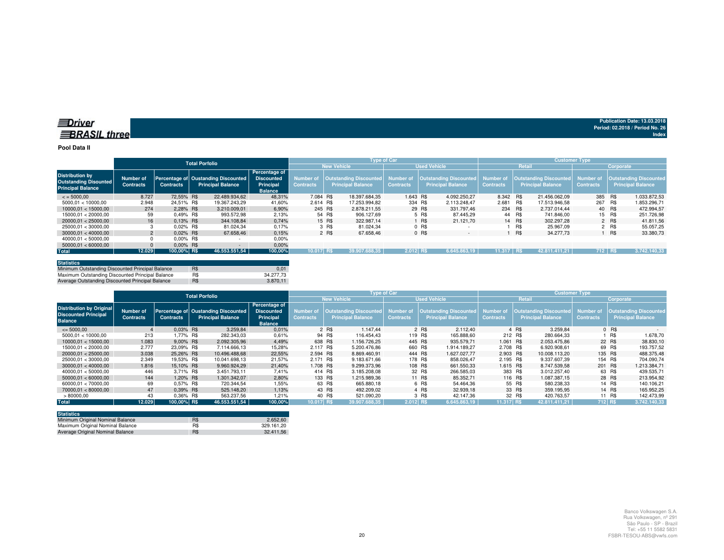#### **Pool Data II**

|                                                                                    |                               |                  | <b>Total Porfolio</b>                                           |                                                                   |                                      |                    |                                                    | <b>Type of Car</b> |                     |                                                                            | <b>Customer Type</b> |        |                                                                     |                  |           |                                                            |
|------------------------------------------------------------------------------------|-------------------------------|------------------|-----------------------------------------------------------------|-------------------------------------------------------------------|--------------------------------------|--------------------|----------------------------------------------------|--------------------|---------------------|----------------------------------------------------------------------------|----------------------|--------|---------------------------------------------------------------------|------------------|-----------|------------------------------------------------------------|
|                                                                                    |                               |                  |                                                                 |                                                                   |                                      | <b>New Vehicle</b> |                                                    |                    | <b>Used Vehicle</b> |                                                                            |                      | Retail |                                                                     |                  | Corporate |                                                            |
| <b>Distribution by</b><br><b>Outstanding Disounted</b><br><b>Principal Balance</b> | Number of<br><b>Contracts</b> | <b>Contracts</b> | Percentage of Oustanding Discounted<br><b>Principal Balance</b> | Percentage of<br><b>Discounted</b><br>Principal<br><b>Balance</b> | <b>Number of</b><br><b>Contracts</b> |                    | Outstanding Discounted<br><b>Principal Balance</b> | <b>Contracts</b>   |                     | Number of   Outstanding Discounted   Number of<br><b>Principal Balance</b> | <b>Contracts</b>     |        | <b>Outstanding Discounted</b> Number of<br><b>Principal Balance</b> | <b>Contracts</b> |           | <b>Outstanding Discounted,</b><br><b>Principal Balance</b> |
| $\le$ = 5000.00                                                                    | 8.727                         | 72.55% R\$       | 22.489.934.62                                                   | 48.31%                                                            | 7.084 R\$                            |                    | 18.397.684.35                                      | 1.643 R\$          |                     | 4.092.250.27                                                               | 8.342 R\$            |        | 21.456.062.09                                                       | 385 R\$          |           | 1.033.872.53                                               |
| 5000.01 < 10000.00                                                                 | 2.948                         | 24.51% R\$       | 19.367.243.29                                                   | 41.60%                                                            | 2.614 R\$                            |                    | 17.253.994.82                                      |                    | 334 R\$             | 2.113.248.47                                                               | 2.681                | R\$    | 17.513.946.58                                                       | 267              | R\$       | 1.853.296.71                                               |
| 10000.01 < 15000.00                                                                | 274                           | 2.28% R\$        | 3.210.009.01                                                    | 6.90%                                                             | 245 R\$                              |                    | 2.878.211.55                                       |                    | 29 R\$              | 331.797.46                                                                 | 234 R\$              |        | 2.737.014.44                                                        |                  | 40 R\$    | 472.994,57                                                 |
| 15000.01 < 20000.00                                                                | 59                            | 0.49% R\$        | 993.572.98                                                      | 2.13%                                                             |                                      | 54 R\$             | 906.127.69                                         |                    | 5 R\$               | 87.445.29                                                                  |                      | 44 R\$ | 741.846.00                                                          |                  | 15 R\$    | 251.726.98                                                 |
| 20000.01 < 25000.00                                                                | 16                            | $0.13\%$ R\$     | 344.108.84                                                      | 0.74%                                                             |                                      | 15 R\$             | 322,987.14                                         |                    | 1 R\$               | 21.121.70                                                                  |                      | 14 R\$ | 302.297.28                                                          |                  | 2 R\$     | 41.811.56                                                  |
| 25000.01 < 30000.00                                                                |                               | 0.02% R\$        | 81.024.34                                                       | 0.17%                                                             |                                      | 3 R\$              | 81.024.34                                          |                    | $0$ R\$             |                                                                            |                      | R\$    | 25.967.09                                                           |                  | 2 R\$     | 55.057.25                                                  |
| 30000.01 < 40000.00                                                                | $\overline{2}$                | $0.02\%$ R\$     | 67.658.46                                                       | 0.15%                                                             |                                      | 2 R\$              | 67.658.46                                          |                    | 0 R\$               | $\overline{\phantom{a}}$                                                   |                      | R\$    | 34,277,73                                                           |                  | ∣ R\$     | 33.380,73                                                  |
| 40000.01 < 50000.00                                                                |                               | $0.00\%$ R\$     |                                                                 | 0,00%                                                             |                                      |                    |                                                    |                    |                     |                                                                            |                      |        |                                                                     |                  |           |                                                            |
| 50000.01 < 60000.00                                                                |                               | $0.00\%$ R\$     |                                                                 | 0.00%                                                             |                                      |                    |                                                    |                    |                     |                                                                            |                      |        |                                                                     |                  |           |                                                            |
| <b>Total</b>                                                                       | 12.029                        | 100,00% R\$      | 46.553.551,54                                                   | 100,00%                                                           | 10.017 R\$                           |                    | 39.907.688.35                                      | 2.012 RS           |                     | 6.645.863.19                                                               | 11.317 RS            |        | 42.811.411.21                                                       | $712$ RS         |           | 3.742.140.33                                               |

| <b>Statistics</b>                                |     |           |
|--------------------------------------------------|-----|-----------|
| Minimum Outstanding Discounted Principal Balance | R\$ | 0.01      |
| Maximum Outstanding Discounted Principal Balance | R\$ | 34.277.73 |
| Average Outstanding Discounted Principal Balance | R\$ | 3.870.11  |

|                                                                                  | <b>Total Porfolio</b>         |                  |                                                                 |                                                                   |                                      | <b>Type of Car</b>                                 |                               | <b>Customer Type</b>                                         |                  |                                                    |                               |                                                           |  |
|----------------------------------------------------------------------------------|-------------------------------|------------------|-----------------------------------------------------------------|-------------------------------------------------------------------|--------------------------------------|----------------------------------------------------|-------------------------------|--------------------------------------------------------------|------------------|----------------------------------------------------|-------------------------------|-----------------------------------------------------------|--|
|                                                                                  |                               |                  |                                                                 |                                                                   |                                      | <b>New Vehicle</b>                                 |                               | <b>Used Vehicle</b>                                          |                  | Retail                                             |                               | <b>Corporate</b>                                          |  |
| <b>Distribution by Original</b><br><b>Discounted Principal</b><br><b>Balance</b> | Number of<br><b>Contracts</b> | <b>Contracts</b> | Percentage of Oustanding Discounted<br><b>Principal Balance</b> | Percentage of<br><b>Discounted</b><br>Principal<br><b>Balance</b> | <b>Number of</b><br><b>Contracts</b> | Outstanding Discounted<br><b>Principal Balance</b> | Number of<br><b>Contracts</b> | Outstanding Discounted Number of<br><b>Principal Balance</b> | <b>Contracts</b> | Outstanding Discounted<br><b>Principal Balance</b> | Number of<br><b>Contracts</b> | <b>Outstanding Discounted</b><br><b>Principal Balance</b> |  |
| $\leq 5000,00$                                                                   |                               | $0.03\%$ R\$     | 3.259,84                                                        | 0,01%                                                             |                                      | 2 R\$<br>1.147.44                                  |                               | 2 R\$<br>2.112.40                                            |                  | 4 R\$<br>3.259.84                                  |                               | 0 R\$                                                     |  |
| 5000.01 < 10000.00                                                               | 213                           | .77% R\$         | 282.343.03                                                      | 0,61%                                                             |                                      | 94 R\$<br>116.454.43                               | 119 R\$                       | 165.888.60                                                   | 212 R\$          | 280.664.33                                         |                               | R\$<br>1.678,70                                           |  |
| 10000.01 < 15000.00                                                              | 1.083                         | 9.00% R\$        | 2.092.305.96                                                    | 4.49%                                                             | 638 R\$                              | 1.156.726.25                                       | 445 R\$                       | 935.579.71                                                   | 1.061 R\$        | 2.053.475.86                                       | 22 R\$                        | 38.830,10                                                 |  |
| 15000.01 < 20000.00                                                              | 2.777                         | 23.09% R\$       | 7.114.666.13                                                    | 15.28%                                                            | 2.117 R\$                            | 5.200.476.86                                       | 660 R\$                       | 1.914.189.27                                                 | 2.708 R\$        | 6.920.908.61                                       | 69 R\$                        | 193.757.52                                                |  |
| 20000.01 < 25000.00                                                              | 3.038                         | 25.26% R\$       | 10.496.488.68                                                   | 22,55%                                                            | 2.594 R\$                            | 8.869.460.91                                       | 444 R\$                       | 1.627.027.77                                                 | 2.903 R\$        | 10.008.113.20                                      | 135 R\$                       | 488.375.48                                                |  |
| 25000,01 < 30000,00                                                              | 2.349                         | 19.53% R\$       | 10.041.698.13                                                   | 21,57%                                                            | 2.171 R\$                            | 9.183.671.66                                       | 178 R\$                       | 858.026.47                                                   | 2.195 R\$        | 9.337.607.39                                       | 154 R\$                       | 704.090,74                                                |  |
| 30000.01 < 40000.00                                                              | 1.816                         | 15.10% R\$       | 9.960.924.29                                                    | 21.40%                                                            | 1.708 R\$                            | 9.299.373.96                                       | 108 R\$                       | 661.550.33                                                   | 1.615 R\$        | 8.747.539.58                                       | 201 R\$                       | 1.213.384,71                                              |  |
| 40000.01 < 50000.00                                                              | 446                           | 3.71% R\$        | 3.451.793.11                                                    | 7.41%                                                             | 414 R\$                              | 3.185.208.08                                       | 32 R\$                        | 266.585,03                                                   | 383 R\$          | 3.012.257.40                                       | 63 R\$                        | 439.535.71                                                |  |
| 50000.01 < 60000.00                                                              | 144                           | 1,20% R\$        | 1.301.342.07                                                    | 2.80%                                                             | 133 R\$                              | 1.215.989.36                                       | 11 R\$                        | 85.352.71                                                    | 116 R\$          | 1.087.387.15                                       | 28 R\$                        | 213.954.92                                                |  |
| 60000.01 < 70000.00                                                              | 69                            | 0.57% R\$        | 720.344.54                                                      | 1,55%                                                             |                                      | 63 R\$<br>665,880.18                               |                               | 6 R\$<br>54.464.36                                           |                  | 55 R\$<br>580.238.33                               | 14 R\$                        | 140.106.21                                                |  |
| 70000,01 < 80000,00                                                              | 47                            | 0.39% R\$        | 525.148.20                                                      | 1.13%                                                             |                                      | 43 R\$<br>492.209.02                               |                               | 4 R\$<br>32.939.18                                           |                  | 33 R\$<br>359.195.95                               | 14 R\$                        | 165.952.25                                                |  |
| >80000,00                                                                        | 43                            | 0.36% R\$        | 563.237.56                                                      | 1.21%                                                             |                                      | 40 R\$<br>521.090.20                               |                               | 3 R\$<br>42.147.36                                           |                  | 32 R\$<br>420.763.57                               | 11 R\$                        | 142.473.99                                                |  |
| <b>Total</b>                                                                     | 12.029                        | 100,00% R\$      | 46.553.551.54                                                   | 100,00%                                                           | 10.017 R\$                           | 39.907.688.35                                      | 2.012 RS                      | 6.645.863,19                                                 | 11.317 R\$       | 42.811.411.21                                      | 712 R\$                       | 3.742.140,33                                              |  |

| <b>Statistics</b>                |            |            |
|----------------------------------|------------|------------|
| Minimum Original Nominal Balance | R\$        | 2.652.60   |
| Maximum Original Nominal Balance | R\$        | 329.161.20 |
| Average Original Nominal Balance | <b>R\$</b> | 32.411.56  |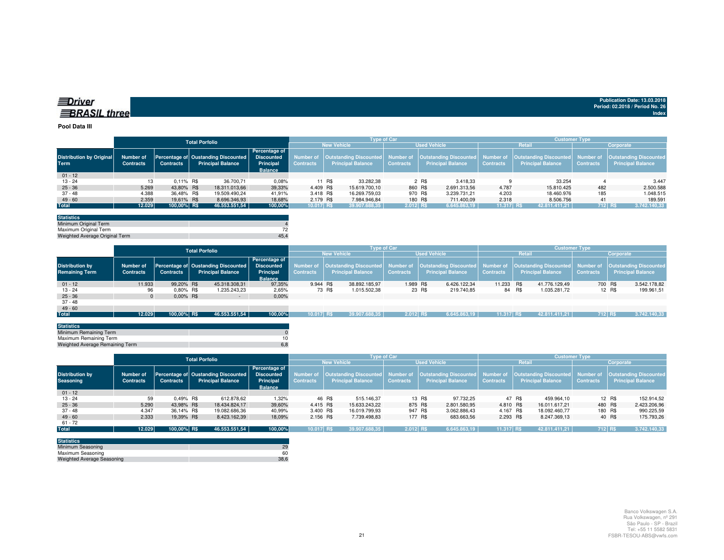| <b>EDriver</b>      |  |
|---------------------|--|
| <b>BRASIL three</b> |  |

#### **Pool Data III**

|                                         |                               | <b>Total Porfolio</b> |  |                                                                 |                                                                          |                  |        | <b>Type of Car</b>       |                  |       |                          | <b>Customer Type</b> |                          |                  |                                                                                                                                                                         |  |  |
|-----------------------------------------|-------------------------------|-----------------------|--|-----------------------------------------------------------------|--------------------------------------------------------------------------|------------------|--------|--------------------------|------------------|-------|--------------------------|----------------------|--------------------------|------------------|-------------------------------------------------------------------------------------------------------------------------------------------------------------------------|--|--|
|                                         |                               |                       |  |                                                                 |                                                                          |                  |        | <b>New Vehicle</b>       |                  |       | <b>Used Vehicle</b>      |                      | <b>Retail</b>            | Corporate        |                                                                                                                                                                         |  |  |
| <b>Distribution by Original</b><br>Term | Number of<br><b>Contracts</b> | <b>Contracts</b>      |  | Percentage of Oustanding Discounted<br><b>Principal Balance</b> | <b>Percentage of</b><br><b>Discounted</b><br>Principal<br><b>Balance</b> | <b>Contracts</b> |        | <b>Principal Balance</b> | <b>Contracts</b> |       | <b>Principal Balance</b> | <b>Contracts</b>     | <b>Principal Balance</b> | <b>Contracts</b> | Number of  Outstanding Discounted  Number of  Outstanding Discounted  Number of  Outstanding Discounted  Number of  Outstanding Discounted <br><b>Principal Balance</b> |  |  |
| $01 - 12$                               |                               |                       |  |                                                                 |                                                                          |                  |        |                          |                  |       |                          |                      |                          |                  |                                                                                                                                                                         |  |  |
| $13 - 24$                               | 13                            | $0.11\%$ R\$          |  | 36.700,71                                                       | 0.08%                                                                    |                  | 11 R\$ | 33.282,38                |                  | 2 R\$ | 3.418.33                 |                      | 33.254                   |                  | 3.447                                                                                                                                                                   |  |  |
| $25 - 36$                               | 5.269                         | 43.80% R\$            |  | 18.311.013.66                                                   | 39,33%                                                                   | 4.409 R\$        |        | 15.619.700.10            | 860 R\$          |       | 2.691.313.56             | 4.787                | 15.810.425               | 482              | 2.500.588                                                                                                                                                               |  |  |
| 37 - 48                                 | 4.388                         | 36.48% R\$            |  | 19.509.490.24                                                   | 41.91%                                                                   | 3.418 R\$        |        | 16.269.759.03            | 970 R\$          |       | 3.239.731.21             | 4.203                | 18.460.976               | 185              | 1.048.515                                                                                                                                                               |  |  |
| $49 - 60$                               | 2.359                         | 19.61% R\$            |  | 8.696.346.93                                                    | 18,68%                                                                   | 2.179 R\$        |        | 7.984.946.84             | 180 R\$          |       | 711.400.09               | 2.318                | 8.506.756                | 41               | 189.591                                                                                                                                                                 |  |  |
| <b>Total</b>                            | 12.029                        | 100,00% R\$           |  | 46.553.551,54                                                   | 100,00%                                                                  | 10.017 R\$       |        | 39.907.688,35            | $2.012$ RS       |       | 6.645.863,19             | 11.317 R\$           | 42.811.411.21            |                  | <b>712 RS</b><br>3.742.140,33                                                                                                                                           |  |  |

| 45.4 |
|------|
|      |

|                        |                  |                  | <b>Total Porfolio</b>               |                   |                  | <b>Type of Car</b>       |                     | <b>Customer Type</b>                                              |                  |        |                                  |                  |                               |  |
|------------------------|------------------|------------------|-------------------------------------|-------------------|------------------|--------------------------|---------------------|-------------------------------------------------------------------|------------------|--------|----------------------------------|------------------|-------------------------------|--|
|                        |                  |                  |                                     |                   |                  | <b>New Vehicle</b>       | <b>Used Vehicle</b> |                                                                   | <b>Retail</b>    |        | Corporate                        |                  |                               |  |
|                        |                  |                  |                                     | Percentage of     |                  |                          |                     |                                                                   |                  |        |                                  |                  |                               |  |
| <b>Distribution by</b> | Number of        |                  | Percentage of Oustanding Discounted | <b>Discounted</b> | <b>Number of</b> |                          |                     | Outstanding Discounted Number of Outstanding Discounted Number of |                  |        | Outstanding Discounted Number of |                  | <b>Quistanding Discounted</b> |  |
| <b>Remaining Term</b>  | <b>Contracts</b> | <b>Contracts</b> | <b>Principal Balance</b>            | Principal         | <b>Contracts</b> | <b>Principal Balance</b> | <b>Contracts</b>    | <b>Principal Balance</b>                                          | <b>Contracts</b> |        | <b>Principal Balance</b>         | <b>Contracts</b> | Principal Balance             |  |
|                        |                  |                  |                                     | <b>Balance</b>    |                  |                          |                     |                                                                   |                  |        |                                  |                  |                               |  |
| $01 - 12$              | 11.933           | 99.20% R\$       | 45.318.308,31                       | 97,35%            | 9.944 R\$        | 38.892.185.97            | 1.989 R\$           | 6.426.122.34                                                      | 11.233 R\$       |        | 41.776.129.49                    |                  | 3.542.178.82<br>700 R\$       |  |
| $13 - 24$              | 96               | 0.80% R\$        | 1.235.243,23                        | 2,65%             |                  | 73 R\$<br>1.015.502,38   |                     | 23 R\$<br>219.740,85                                              |                  | 84 R\$ | 1.035.281.72                     |                  | 12 R\$<br>199.961,51          |  |
| $25 - 36$              |                  | $0.00\%$ R\$     | $\sim$                              | $0.00\%$          |                  |                          |                     |                                                                   |                  |        |                                  |                  |                               |  |
| $37 - 48$              |                  |                  |                                     |                   |                  |                          |                     |                                                                   |                  |        |                                  |                  |                               |  |
| $49 - 60$              |                  |                  |                                     |                   |                  |                          |                     |                                                                   |                  |        |                                  |                  |                               |  |
| <b>Total</b>           | 12.029           | 100,00% R\$      | 46.553.551,54                       | 100,00%           | 10.017 R\$       | 39.907.688.35            | $2.012$ RS          | 6.645.863,19                                                      | 11.317 RS        |        | 42.811.411.21                    | 712 RS           | 3.742.140,33                  |  |
|                        |                  |                  |                                     |                   |                  |                          |                     |                                                                   |                  |        |                                  |                  |                               |  |

| <b>Statistics</b>               |     |
|---------------------------------|-----|
| Minimum Remaining Term          |     |
| Maximum Remaining Term          |     |
| Weighted Average Remaining Term | 6.8 |
|                                 |     |

|                                            | <b>Total Porfolio</b>         |                  |                                                                 |                                                                          |                               |                          | <b>Type of Car</b> |                                                                                                                                                              | <b>Customer Type</b> |                          |                  |                      |  |  |
|--------------------------------------------|-------------------------------|------------------|-----------------------------------------------------------------|--------------------------------------------------------------------------|-------------------------------|--------------------------|--------------------|--------------------------------------------------------------------------------------------------------------------------------------------------------------|----------------------|--------------------------|------------------|----------------------|--|--|
|                                            |                               |                  |                                                                 |                                                                          |                               | <b>New Vehicle</b>       |                    | <b>Used Vehicle</b>                                                                                                                                          |                      | Retail                   | Corporate        |                      |  |  |
| <b>Distribution by</b><br><b>Seasoning</b> | Number of<br><b>Contracts</b> | <b>Contracts</b> | Percentage of Oustanding Discounted<br><b>Principal Balance</b> | <b>Percentage of</b><br><b>Discounted</b><br>Principal<br><b>Balance</b> | Number of<br><b>Contracts</b> | <b>Principal Balance</b> | <b>Contracts</b>   | Outstanding Discounted  Number of  Outstanding Discounted  Number of  Outstanding Discounted  Number of  Outstanding Discounted <br><b>Principal Balance</b> | <b>Contracts</b>     | <b>Principal Balance</b> | <b>Contracts</b> | Principal Balance    |  |  |
| $01 - 12$                                  |                               |                  |                                                                 |                                                                          |                               |                          |                    |                                                                                                                                                              |                      |                          |                  |                      |  |  |
| 13 - 24                                    | 59                            | $0.49\%$ R\$     | 612.878.62                                                      | 1,32%                                                                    |                               | 46 R\$<br>515.146.37     |                    | 13 R\$<br>97.732.25                                                                                                                                          |                      | 47 R\$<br>459.964.10     |                  | 12 R\$<br>152.914,52 |  |  |
| $25 - 36$                                  | 5.290                         | 43.98% R\$       | 18,434,824.17                                                   | 39.60%                                                                   | 4.415 R\$                     | 15.633.243.22            | 875 R\$            | 2.801.580.95                                                                                                                                                 | 4.810 R\$            | 16.011.617.21            | 480 R\$          | 2.423.206,96         |  |  |
| $37 - 48$                                  | 4.347                         | 36.14% R\$       | 19.082.686.36                                                   | 40.99%                                                                   | 3.400 R\$                     | 16.019.799.93            | 947 R\$            | 3.062.886.43                                                                                                                                                 | 4.167 R\$            | 18.092.460.77            | 180 R\$          | 990.225,59           |  |  |
| $49 - 60$                                  | 2.333                         | 19.39% R\$       | 8.423.162.39                                                    | 18,09%                                                                   | 2.156 R\$                     | 7.739.498.83             | 177 R\$            | 683.663,56                                                                                                                                                   | 2.293 R\$            | 8.247.369.13             |                  | 175.793,26<br>40 R\$ |  |  |
| $61 - 72$                                  |                               |                  |                                                                 |                                                                          |                               |                          |                    |                                                                                                                                                              |                      |                          |                  |                      |  |  |
| <b>Total</b>                               | 12.029                        | 100,00% R\$      | 46.553.551,54                                                   | 100,00%                                                                  | 10.017 R\$                    | 39.907.688.35            | $2.012$ RS         | 6.645.863,19                                                                                                                                                 | 11.317 R\$           | 42.811.411.21            | 712 RS           | 3.742.140,33         |  |  |
|                                            |                               |                  |                                                                 |                                                                          |                               |                          |                    |                                                                                                                                                              |                      |                          |                  |                      |  |  |

| <b>Statistics</b>                 |      |
|-----------------------------------|------|
| Minimum Seasoning                 | 29   |
| Maximum Seasoning                 | 60   |
| <b>Weighted Average Seasoning</b> | 38.6 |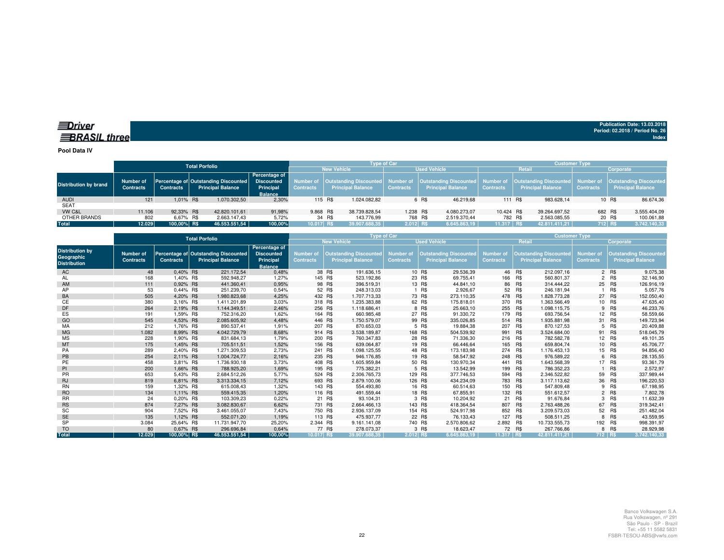## *<u>IDriver</u>* **BRASIL** three

**Publication Date: 13.03.2018Period: 02.2018 / Period No. 26 Index**

**Pool Data IV**

|                              | <b>Total Porfolio</b>         |                  |  |                                                                  |                                                                          | <b>Type of Car</b> |        |                   | <b>Customer Type</b> |       |                                                                                                                                            |                          |               |                          |                               |                                                           |           |
|------------------------------|-------------------------------|------------------|--|------------------------------------------------------------------|--------------------------------------------------------------------------|--------------------|--------|-------------------|----------------------|-------|--------------------------------------------------------------------------------------------------------------------------------------------|--------------------------|---------------|--------------------------|-------------------------------|-----------------------------------------------------------|-----------|
|                              |                               |                  |  |                                                                  |                                                                          | <b>New Vehicle</b> |        |                   | <b>Used Vehicle</b>  |       |                                                                                                                                            |                          | <b>Retail</b> |                          | Corporate                     |                                                           |           |
| <b>Distribution by brand</b> | Number of<br><b>Contracts</b> | <b>Contracts</b> |  | Percentage of Outstanding Discounted<br><b>Principal Balance</b> | <b>Percentage of</b><br><b>Discounted</b><br>Principal<br><b>Balance</b> | <b>Contracts</b>   |        | Principal Balance | <b>Contracts</b>     |       | Number of   Outstanding Discounted   Number of   Outstanding Discounted   Number of   Outstanding Discounted  <br><b>Principal Balance</b> | <b>Contracts</b>         |               | <b>Principal Balance</b> | Number of<br><b>Contracts</b> | <b>Outstanding Discounted</b><br><b>Principal Balance</b> |           |
| <b>AUDI</b>                  | 121                           | 1.01% R\$        |  | 1.070.302.50                                                     | 2.30%                                                                    | 115 R\$            |        | 1.024.082.82      |                      | 6 R\$ | 46.219.68                                                                                                                                  | 111 R\$                  |               | 983.628.14               |                               | 10 R\$                                                    | 86.674,36 |
| <b>SEAT</b>                  |                               |                  |  |                                                                  |                                                                          |                    |        |                   |                      |       |                                                                                                                                            |                          |               |                          |                               |                                                           |           |
| VW C&L                       | 11.106                        | 92.33% R\$       |  | 42.820.101.61                                                    | 91.98%                                                                   | 9.868 R\$          |        | 38.739.828.54     | 1.238 R\$            |       | 4.080.273.07                                                                                                                               | 10.424 R\$               |               | 39.264.697.52            |                               | 682 R\$<br>3.555.404,09                                   |           |
| OTHER BRANDS                 | 802                           | 6.67% R\$        |  | 2.663.147.43                                                     | 5.72%                                                                    |                    | 34 R\$ | 143.776.99        | 768 R\$              |       | 2.519.370.44                                                                                                                               | 782 R\$                  |               | 2.563.085.55             |                               | 20 R\$<br>100.061,88                                      |           |
| Total                        | 12.029                        | 100.00% R\$      |  | 46.553.551.54                                                    | 100,00%                                                                  | 10.017 R\$         |        | 39.907.688.35     | $2.012$ RS           |       | 6.645.863.19                                                                                                                               | \11.317 R\$ <sup>\</sup> |               | 42.811.411.21            |                               | 712 R\$<br>3.742.140,33                                   |           |
|                              |                               |                  |  |                                                                  |                                                                          |                    |        |                   |                      |       |                                                                                                                                            |                          |               |                          |                               |                                                           |           |

|                                                             |                               |                  | <b>Total Porfolio</b>                                            |                                                                   | <b>Type of Car</b>                   |                                                           | <b>Customer Type</b>                 |         |                                                           |                               |            |                                                           |                                      |            |                                                           |
|-------------------------------------------------------------|-------------------------------|------------------|------------------------------------------------------------------|-------------------------------------------------------------------|--------------------------------------|-----------------------------------------------------------|--------------------------------------|---------|-----------------------------------------------------------|-------------------------------|------------|-----------------------------------------------------------|--------------------------------------|------------|-----------------------------------------------------------|
|                                                             |                               |                  |                                                                  |                                                                   |                                      | <b>New Vehicle</b>                                        |                                      |         | <b>Used Vehicle</b>                                       |                               | Retail     |                                                           | Corporate                            |            |                                                           |
| <b>Distribution by</b><br>Geographic<br><b>Distribution</b> | Number of<br><b>Contracts</b> | <b>Contracts</b> | Percentage of Outstanding Discounted<br><b>Principal Balance</b> | Percentage of<br><b>Discounted</b><br>Principal<br><b>Balance</b> | <b>Number of</b><br><b>Contracts</b> | <b>Outstanding Discounted</b><br><b>Principal Balance</b> | <b>Number of</b><br><b>Contracts</b> |         | <b>Outstanding Discounted</b><br><b>Principal Balance</b> | Number of<br><b>Contracts</b> |            | <b>Outstanding Discounted</b><br><b>Principal Balance</b> | <b>Number of</b><br><b>Contracts</b> |            | <b>Outstanding Discounted</b><br><b>Principal Balance</b> |
| AC                                                          | 48                            | 0.40% R\$        | 221.172,54                                                       | 0,48%                                                             |                                      | 38 R\$<br>191.636,15                                      |                                      | 10 R\$  | 29.536,39                                                 |                               | 46 R\$     | 212.097.16                                                |                                      | 2 R\$      | 9.075,38                                                  |
| AL                                                          | 168                           | 1,40% R\$        | 592.948,27                                                       | 1,27%                                                             |                                      | 145 R\$<br>523.192,86                                     |                                      | 23 R\$  | 69.755,41                                                 | 166                           | R\$        | 560.801,37                                                |                                      | 2 R\$      | 32.146,90                                                 |
| AM                                                          | 111                           | 0,92% R\$        | 441.360,41                                                       | 0,95%                                                             |                                      | 98 R\$<br>396.519.31                                      |                                      | 13 R\$  | 44.841,10                                                 |                               | 86 R\$     | 314.444.22                                                |                                      | 25 R\$     | 126.916,19                                                |
| AP                                                          | 53                            | 0,44% R\$        | 251.239.70                                                       | 0,54%                                                             |                                      | 52 R\$<br>248.313.03                                      |                                      | R\$     | 2.926,67                                                  | 52                            | R\$        | 246.181.94                                                |                                      | <b>R\$</b> | 5.057,76                                                  |
| BA                                                          | 505                           | 4,20% R\$        | 1.980.823,68                                                     | 4,25%                                                             | 432 R\$                              | 1.707.713.33                                              |                                      | 73 R\$  | 273.110,35                                                | 478 R\$                       |            | 1.828.773,28                                              |                                      | 27 R\$     | 152.050,40                                                |
| СE                                                          | 380                           | 3,16% R\$        | 1.411.201.89                                                     | 3,03%                                                             | 318 R\$                              | 1.235.383,88                                              |                                      | 62 R\$  | 175.818,01                                                | 370                           | R\$        | 1.363.566,49                                              |                                      | 10 R\$     | 47.635,40                                                 |
| DF                                                          | 264                           | 2,19% R\$        | 1.144.349.51                                                     | 2,46%                                                             | 256 R\$                              | 1.118.686,41                                              |                                      | 8 R\$   | 25.663,10                                                 | 255 R\$                       |            | 1.098.115.75                                              |                                      | 9 R\$      | 46.233,76                                                 |
| ES                                                          | 191                           | 1.59% R\$        | 752.316.20                                                       | 1.62%                                                             |                                      | 164 R\$<br>660.985.48                                     |                                      | 27 R\$  | 91.330,72                                                 | 179 R\$                       |            | 693.756.54                                                |                                      | 12 R\$     | 58.559,66                                                 |
| GO                                                          | 545                           | 4.53% R\$        | 2.085.605.92                                                     | 4,48%                                                             | 446 R\$                              | 1.750.579.07                                              |                                      | 99 R\$  | 335.026,85                                                | 514 R\$                       |            | 1.935.881,98                                              |                                      | 31 R\$     | 149.723,94                                                |
| MA                                                          | 212                           | 1,76% R\$        | 890.537.41                                                       | 1,91%                                                             | 207 R\$                              | 870.653,03                                                |                                      | 5 R\$   | 19.884,38                                                 | 207 R\$                       |            | 870.127,53                                                | 5                                    | R\$        | 20.409,88                                                 |
| <b>MG</b>                                                   | 1.082                         | 8.99% R\$        | 4.042.729.79                                                     | 8,68%                                                             | 914 R\$                              | 3.538.189.87                                              |                                      | 168 R\$ | 504.539.92                                                | 991 R\$                       |            | 3.524.684.00                                              |                                      | 91 R\$     | 518.045,79                                                |
| <b>MS</b>                                                   | 228                           | 1,90% R\$        | 831.684,13                                                       | 1,79%                                                             | 200 R\$                              | 760.347,83                                                |                                      | 28 R\$  | 71.336,30                                                 | 216 R\$                       |            | 782.582.78                                                |                                      | 12 R\$     | 49.101,35                                                 |
| MT                                                          | 175                           | 1,45% R\$        | 705.511,51                                                       | 1,52%                                                             | 156 R\$                              | 639.064,87                                                |                                      | 19 R\$  | 66.446,64                                                 |                               | 165 R\$    | 659.804,74                                                |                                      | 10 R\$     | 45.706,77                                                 |
| PA                                                          | 289                           | 2,40% R\$        | 1.271.309.53                                                     | 2,73%                                                             |                                      | 241 R\$<br>1.098.125,55                                   |                                      | 48 R\$  | 173.183,98                                                | 274                           | <b>R\$</b> | 1.176.453,13                                              |                                      | 15 R\$     | 94.856,40                                                 |
| PB                                                          | 254                           | 2,11% R\$        | 1.004.724,77                                                     | 2,16%                                                             | 235 R\$                              | 946.176,85                                                |                                      | 19 R\$  | 58.547,92                                                 | 248 R\$                       |            | 976.589,22                                                |                                      | 6 R\$      | 28.135,55                                                 |
| PE                                                          | 458                           | 3,81% R\$        | 1.736.930,18                                                     | 3,73%                                                             | 408 R\$                              | 1.605.959,84                                              |                                      | 50 R\$  | 130.970,34                                                | 441                           | R\$        | 1.643.568,39                                              |                                      | 17 R\$     | 93.361,79                                                 |
| PI                                                          | 200                           | 1.66% R\$        | 788,925.20                                                       | 1,69%                                                             | 195 R\$                              | 775.382.21                                                |                                      | 5 R\$   | 13.542.99                                                 | 199                           | R\$        | 786.352.23                                                |                                      | <b>R\$</b> | 2.572,97                                                  |
| <b>PR</b>                                                   | 653                           | 5.43% R\$        | 2.684.512.26                                                     | 5.77%                                                             |                                      | 524 R\$<br>2.306.765.73                                   |                                      | 129 R\$ | 377.746,53                                                | 594                           | R\$        | 2.346.522.82                                              | 59                                   | R\$        | 337.989,44                                                |
| <b>RJ</b>                                                   | 819                           | 6,81% R\$        | 3.313.334,15                                                     | 7,12%                                                             |                                      | 693 R\$<br>2.879.100,06                                   |                                      | 126 R\$ | 434.234,09                                                | 783 R\$                       |            | 3.117.113,62                                              |                                      | 36 R\$     | 196.220,53                                                |
| <b>RN</b>                                                   | 159                           | 1,32% R\$        | 615.008,43                                                       | 1,32%                                                             |                                      | 143 R\$<br>554.493,80                                     |                                      | 16 R\$  | 60.514,63                                                 |                               | 150 R\$    | 547.809,48                                                | 9                                    | R\$        | 67.198,95                                                 |
| <b>RO</b>                                                   | 134                           | 1,11% R\$        | 559.415,35                                                       | 1,20%                                                             | 116 R\$                              | 491.559.44                                                |                                      | 18 R\$  | 67.855.91                                                 | 132 R\$                       |            | 551.612.57                                                |                                      | 2 R\$      | 7.802,78                                                  |
| <b>RR</b>                                                   | 24                            | 0,20% R\$        | 103.309,23                                                       | 0,22%                                                             |                                      | 21 R\$<br>93.104,31                                       |                                      | 3 R\$   | 10.204,92                                                 | 21                            | R\$        | 91.676.84                                                 |                                      | 3 R\$      | 11.632,39                                                 |
| <b>RS</b>                                                   | 874                           | 7,27% R\$        | 3.082.830.67                                                     | 6,62%                                                             |                                      | 731 R\$<br>2.664.466,13                                   |                                      | 143 R\$ | 418.364,54                                                | 807 R\$                       |            | 2.763.488.26                                              |                                      | 67 R\$     | 319.342,41                                                |
| SC                                                          | 904                           | 7,52% R\$        | 3.461.055,07                                                     | 7,43%                                                             |                                      | 750 R\$<br>2.936.137,09                                   |                                      | 154 R\$ | 524.917.98                                                | 852                           | R\$        | 3.209.573,03                                              | 52                                   | R\$        | 251.482,04                                                |
| <b>SE</b>                                                   | 135                           | 1,12% R\$        | 552.071.20                                                       | 1,19%                                                             | 113 R\$                              | 475.937.77                                                |                                      | 22 R\$  | 76.133,43                                                 | 127 R\$                       |            | 508.511.25                                                |                                      | 8 R\$      | 43.559,95                                                 |
| <b>SP</b>                                                   | 3.084                         | 25.64% R\$       | 11.731.947,70                                                    | 25,20%                                                            | 2.344 R\$                            | 9.161.141.08                                              |                                      | 740 R\$ | 2.570.806.62                                              | 2.892 R\$                     |            | 10.733.555,73                                             |                                      | 192 R\$    | 998.391,97                                                |
| <b>TO</b>                                                   | 80                            | 0.67% R\$        | 296.696,84                                                       | 0,64%                                                             |                                      | 77 R\$<br>278.073,37                                      |                                      | 3 R\$   | 18.623,47                                                 |                               | 72 R\$     | 267.766.86                                                |                                      | 8 R\$      | 28.929,98                                                 |
| <b>Total</b>                                                | 12.029                        | 100,00% R\$      | 46.553.551.54                                                    | 100.00%                                                           | 10.017 RS                            | 39.907.688.35                                             | 2.012 RS                             |         | 6.645.863.19                                              | 11.317 RS                     |            | 42.811.411.21                                             | 712 RS                               |            | 3.742.140.33                                              |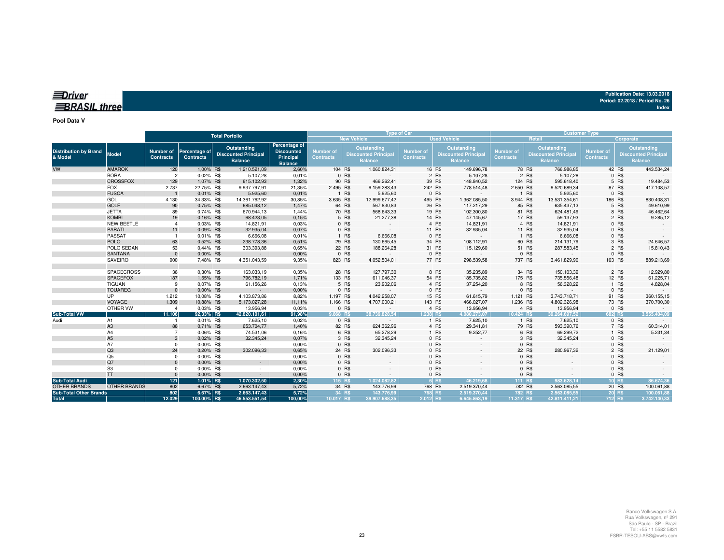| <b>EDriver</b>      | Publication Date: 13.03.2018    |
|---------------------|---------------------------------|
|                     | Period: 02.2018 / Period No. 26 |
| <b>BRASIL three</b> | Index                           |
|                     |                                 |

#### **Pool Data V**

|                                         |                     | <b>Total Porfolio</b>                |                                   |                                                              |                                                                   |                               | <b>Type of Car</b> |                                                                     |                               | <b>Customer Type</b> |                                                              |                               |         |                                                                     |                                      |          |                                                              |
|-----------------------------------------|---------------------|--------------------------------------|-----------------------------------|--------------------------------------------------------------|-------------------------------------------------------------------|-------------------------------|--------------------|---------------------------------------------------------------------|-------------------------------|----------------------|--------------------------------------------------------------|-------------------------------|---------|---------------------------------------------------------------------|--------------------------------------|----------|--------------------------------------------------------------|
|                                         |                     |                                      |                                   |                                                              |                                                                   |                               |                    | <b>New Vehicle</b>                                                  |                               |                      | <b>Used Vehicle</b>                                          |                               |         | <b>Retail</b>                                                       | Corporate                            |          |                                                              |
| <b>Distribution by Brand</b><br>& Model | <b>Model</b>        | <b>Number of</b><br><b>Contracts</b> | Percentage of<br><b>Contracts</b> | Outstanding<br><b>Discounted Principal</b><br><b>Balance</b> | Percentage of<br><b>Discounted</b><br>Principal<br><b>Balance</b> | Number of<br><b>Contracts</b> |                    | <b>Outstanding</b><br><b>Discounted Principal</b><br><b>Balance</b> | Number of<br><b>Contracts</b> |                      | Outstanding<br><b>Discounted Principal</b><br><b>Balance</b> | Number of<br><b>Contracts</b> |         | <b>Outstanding</b><br><b>Discounted Principal</b><br><b>Balance</b> | <b>Number of</b><br><b>Contracts</b> |          | Outstanding<br><b>Discounted Principal</b><br><b>Balance</b> |
| VW                                      | <b>AMAROK</b>       | 120                                  | 1,00% R\$                         | 1.210.521,09                                                 | 2,60%                                                             |                               | 104 R\$            | 1.060.824,31                                                        |                               | 16 R\$               | 149.696,78                                                   |                               | 78 R\$  | 766.986,85                                                          |                                      | 42 R\$   | 443.534,24                                                   |
|                                         | <b>BORA</b>         | $\overline{2}$                       | 0,02% R\$                         | 5.107,28                                                     | 0,01%                                                             |                               | 0 R\$              |                                                                     |                               | 2 R\$                | 5.107,28                                                     |                               | 2 R\$   | 5.107,28                                                            |                                      | 0 R\$    |                                                              |
|                                         | <b>CROSSFOX</b>     | 129                                  | 1,07% R\$                         | 615.102,93                                                   | 1,32%                                                             |                               | 90 R\$             | 466.262,41                                                          |                               | 39 R\$               | 148.840,52                                                   |                               | 124 R\$ | 595.618,40                                                          |                                      | 5 R\$    | 19.484,53                                                    |
|                                         | <b>FOX</b>          | 2.737                                | 22,75% R\$                        | 9.937.797,91                                                 | 21,35%                                                            | 2.495 R\$                     |                    | 9.159.283,43                                                        |                               | 242 R\$              | 778.514,48                                                   | 2.650 R\$                     |         | 9.520.689,34                                                        |                                      | 87 R\$   | 417.108,57                                                   |
|                                         | <b>FUSCA</b>        |                                      | 0.01% R\$                         | 5.925,60                                                     | 0,01%                                                             |                               | 1 R\$              | 5.925,60                                                            |                               | 0 R\$                |                                                              |                               | 1 R\$   | 5.925,60                                                            |                                      | 0 R\$    |                                                              |
|                                         | GOL                 | 4.130                                | 34,33% R\$                        | 14.361.762,92                                                | 30,85%                                                            | 3.635 R\$                     |                    | 12.999.677,42                                                       |                               | 495 R\$              | 1.362.085,50                                                 | 3.944 R\$                     |         | 13.531.354,61                                                       |                                      | 186 R\$  | 830.408,31                                                   |
|                                         | <b>GOLF</b>         | 90                                   | 0,75% R\$                         | 685.048,12                                                   | 1,47%                                                             |                               | 64 R\$             | 567.830,83                                                          |                               | 26 R\$               | 117.217,29                                                   |                               | 85 R\$  | 635.437,13                                                          |                                      | 5 R\$    | 49.610,99                                                    |
|                                         | <b>JETTA</b>        | 89                                   | 0,74% R\$                         | 670.944,13                                                   | 1,44%                                                             |                               | 70 R\$             | 568.643,33                                                          |                               | 19 R\$               | 102.300,80                                                   |                               | 81 R\$  | 624.481,49                                                          |                                      | 8 R\$    | 46.462,64                                                    |
|                                         | <b>KOMBI</b>        | 19                                   | 0,16% R\$                         | 68.423,05                                                    | 0,15%                                                             |                               | 5 R\$              | 21.277,38                                                           |                               | 14 R\$               | 47.145,67                                                    |                               | 17 R\$  | 59.137,93                                                           |                                      | 2 R\$    | 9.285,12                                                     |
|                                         | <b>NEW BEETLE</b>   | $\overline{4}$                       | 0.03% R\$                         | 14.821,91                                                    | 0,03%                                                             |                               | 0 R\$              |                                                                     |                               | 4 R\$                | 14.821,91                                                    |                               | 4 R\$   | 14.821,91                                                           |                                      | 0 R\$    |                                                              |
|                                         | <b>PARATI</b>       | 11                                   | 0.09% R\$                         | 32.935,04                                                    | 0,07%                                                             |                               | 0 R\$              | $\sim$ $\sim$                                                       |                               | 11 R\$               | 32.935,04                                                    |                               | 11 R\$  | 32.935,04                                                           |                                      | 0 R\$    |                                                              |
|                                         | <b>PASSAT</b>       |                                      | 0,01% R\$                         | 6.666,08                                                     | 0,01%                                                             |                               | 1 R\$              | 6.666,08                                                            |                               | 0 R\$                |                                                              |                               | 1 R\$   | 6.666,08                                                            |                                      | 0 R\$    |                                                              |
|                                         | <b>POLO</b>         | 63                                   | 0.52% R\$                         | 238.778,36                                                   | 0,51%                                                             |                               | 29 R\$             | 130.665,45                                                          |                               | 34 R\$               | 108.112,91                                                   |                               | 60 R\$  | 214.131,79                                                          |                                      | 3 R\$    | 24.646,57                                                    |
|                                         | POLO SEDAN          | 53                                   | 0.44% R\$                         | 303.393,88                                                   | 0,65%                                                             |                               | 22 R\$             | 188.264,28                                                          |                               | 31 R\$               | 115.129,60                                                   |                               | 51 R\$  | 287.583,45                                                          |                                      | 2 R\$    | 15.810,43                                                    |
|                                         | <b>SANTANA</b>      | $\mathbf{0}$                         | 0,00% R\$                         | $\sim$                                                       | 0,00%                                                             |                               | 0 R\$              |                                                                     |                               | 0 R\$                |                                                              |                               | 0 R\$   |                                                                     |                                      | 0 R\$    |                                                              |
|                                         | <b>SAVEIRO</b>      | 900                                  | 7,48% R\$                         | 4.351.043,59                                                 | 9,35%                                                             |                               | 823 R\$            | 4.052.504,01                                                        |                               | 77 R\$               | 298.539,58                                                   | 737 R\$                       |         | 3.461.829,90                                                        |                                      | 163 R\$  | 889.213,69                                                   |
|                                         | <b>SPACECROSS</b>   | 36                                   | 0.30% R\$                         | 163.033,19                                                   | 0,35%                                                             |                               | 28 R\$             | 127.797,30                                                          |                               | 8 R\$                | 35.235,89                                                    |                               | 34 R\$  | 150.103,39                                                          |                                      | 2 R\$    | 12.929,80                                                    |
|                                         | <b>SPACEFOX</b>     | 187                                  | 1,55% R\$                         | 796.782,19                                                   | 1,71%                                                             |                               | 133 R\$            | 611.046,37                                                          |                               | 54 R\$               | 185.735,82                                                   |                               | 175 R\$ | 735.556,48                                                          |                                      | 12 R\$   | 61.225,71                                                    |
|                                         | <b>TIGUAN</b>       | 9                                    | 0.07% R\$                         | 61.156,26                                                    | 0,13%                                                             |                               | 5 R\$              | 23.902,06                                                           |                               | 4 R\$                | 37.254,20                                                    |                               | 8 R\$   | 56.328,22                                                           |                                      | 1 R\$    | 4.828,04                                                     |
|                                         | <b>TOUAREG</b>      | $\Omega$                             | 0.00% R\$                         | $\sim$                                                       | 0,00%                                                             |                               | 0 R\$              | $\sim$                                                              |                               | 0 R\$                | $\sim$                                                       |                               | 0 R\$   | $\sim$                                                              |                                      | 0 R\$    |                                                              |
|                                         | <b>UP</b>           | 1.212                                | 10,08% R\$                        | 4.103.873,86                                                 | 8,82%                                                             | 1.197 R\$                     |                    | 4.042.258,07                                                        |                               | 15 R\$               | 61.615,79                                                    | 1.121 R\$                     |         | 3.743.718,71                                                        |                                      | 91 R\$   | 360.155,15                                                   |
|                                         | VOYAGE              | 1.309                                | 10,88% R\$                        | 5.173.027,28                                                 | 11,11%                                                            | 1.166 R\$                     |                    | 4.707.000,21                                                        |                               | 143 R\$              | 466.027,07                                                   | 1.236 R\$                     |         | 4.802.326,98                                                        |                                      | 73 R\$   | 370.700,30                                                   |
|                                         | OTHER VW            |                                      | 0,03% R\$                         | 13.956,94                                                    | 0,03%                                                             |                               | 0 R\$              |                                                                     |                               | 4 R\$                | 13.956,94                                                    |                               | 4 R\$   | 13.956,94                                                           |                                      | 0 R\$    |                                                              |
| <b>Sub-Total VW</b>                     |                     | 11.106                               | 92,33% R\$                        | 42.820.101,61                                                | 91,98%                                                            | 9.868 RS                      |                    | 38.739.828.54                                                       | 1.238 R\$                     |                      | 4.080.273.07                                                 | 10.424 R\$                    |         | 39.264.697.52                                                       | 682 RS                               |          | 3.555.404.09                                                 |
| Audi                                    | A1                  |                                      | 0.01% R\$                         | 7.625,10                                                     | 0,02%                                                             |                               | 0 R\$              |                                                                     |                               | 1 R\$                | 7.625,10                                                     |                               | 1 R\$   | 7.625,10                                                            |                                      | 0 R\$    |                                                              |
|                                         | A <sub>3</sub>      | 86                                   | 0.71% R\$                         | 653.704,77                                                   | 1,40%                                                             |                               | 82 R\$             | 624.362,96                                                          |                               | 4 R\$                | 29.341,81                                                    |                               | 79 R\$  | 593.390,76                                                          |                                      | 7 R\$    | 60.314,01                                                    |
|                                         | A4                  | $\overline{7}$                       | 0.06% R\$                         | 74.531,06                                                    | 0.16%                                                             |                               | 6 R\$              | 65.278,29                                                           |                               | 1 R\$                | 9.252,77                                                     |                               | 6 R\$   | 69.299,72                                                           |                                      | 1 R\$    | 5.231,34                                                     |
|                                         | A <sub>5</sub>      | 3                                    | 0,02% R\$                         | 32.345,24                                                    | 0,07%                                                             |                               | 3 R\$              | 32.345,24                                                           |                               | 0 R\$                |                                                              |                               | 3 R\$   | 32.345,24                                                           |                                      | 0 R\$    |                                                              |
|                                         | A7                  | $^{\circ}$                           | 0.00% R\$                         | $\sim$                                                       | 0,00%                                                             |                               | 0 R\$              |                                                                     |                               | 0 R\$                |                                                              |                               | 0 R\$   |                                                                     |                                      | 0 R\$    |                                                              |
|                                         | Q3                  | 24                                   | 0,20% R\$                         | 302.096,33                                                   | 0,65%                                                             |                               | 24 R\$             | 302.096,33                                                          |                               | 0 R\$                |                                                              |                               | 22 R\$  | 280.967,32                                                          |                                      | 2 R\$    | 21.129,01                                                    |
|                                         | Q <sub>5</sub>      | $^{\circ}$                           | 0,00% R\$                         | $\sim$                                                       | 0,00%                                                             |                               | 0 R\$              |                                                                     |                               | 0 R\$                |                                                              |                               | 0 R\$   |                                                                     |                                      | $0$ R\$  |                                                              |
|                                         | Q7                  | $\Omega$                             | 0.00% R\$                         | $\sim$                                                       | 0,00%                                                             |                               | 0 R\$              |                                                                     |                               | 0 R\$                |                                                              |                               | 0 R\$   |                                                                     |                                      | $0$ R\$  |                                                              |
|                                         | S <sub>3</sub>      | $\Omega$                             | 0.00% R\$                         | $\sim$                                                       | 0,00%                                                             |                               | 0 R\$              |                                                                     |                               | 0 R\$                |                                                              |                               | 0 R\$   |                                                                     |                                      | 0 R\$    |                                                              |
|                                         | <b>TT</b>           | $\Omega$                             | 0.00% R\$                         | $\sim 10$                                                    | 0,00%                                                             |                               | 0 R\$              |                                                                     |                               | 0 R\$                |                                                              |                               | 0 R\$   |                                                                     |                                      | 0 R\$    |                                                              |
| <b>Sub-Total Audi</b>                   |                     | $121$                                | 1,01% R\$                         | 1.070.302,50                                                 | 2,30%                                                             |                               | 115 R\$            | 1.024.082.82                                                        |                               | 6 R\$                | 46.219.68                                                    | 111 R\$                       |         | 983.628.14                                                          |                                      | $10$ R\$ | 86.674,36                                                    |
| <b>OTHER BRANDS</b>                     | <b>OTHER BRANDS</b> | 802                                  | 6,67% R\$                         | 2.663.147,43                                                 | 5,72%                                                             |                               | 34 R\$             | 143.776,99                                                          |                               | 768 R\$              | 2.519.370,44                                                 | 782 R\$                       |         | 2.563.085,55                                                        |                                      | 20 R\$   | 100.061,88                                                   |
| <b>Sub-Total Other Brands</b>           |                     | 802                                  | 6,67% R\$                         | 2.663.147,43                                                 | 5,72%                                                             |                               | 34 R\$             | 143.776.99                                                          |                               | 768 R\$              | 2.519.370,44                                                 |                               | 782 R\$ | 2.563.085.55                                                        |                                      | 20 R\$   | 100.061.88                                                   |
| <b>Total</b>                            |                     | 12.029                               | 100,00% R\$                       | 46.553.551,54                                                | 100,00%                                                           | 10.017 R\$                    |                    | 39.907.688.35                                                       | 2.012 R\$                     |                      | 6.645.863.19                                                 | 11.317 R\$                    |         | 42.811.411.21                                                       | 712 R\$                              |          | 3.742.140.33                                                 |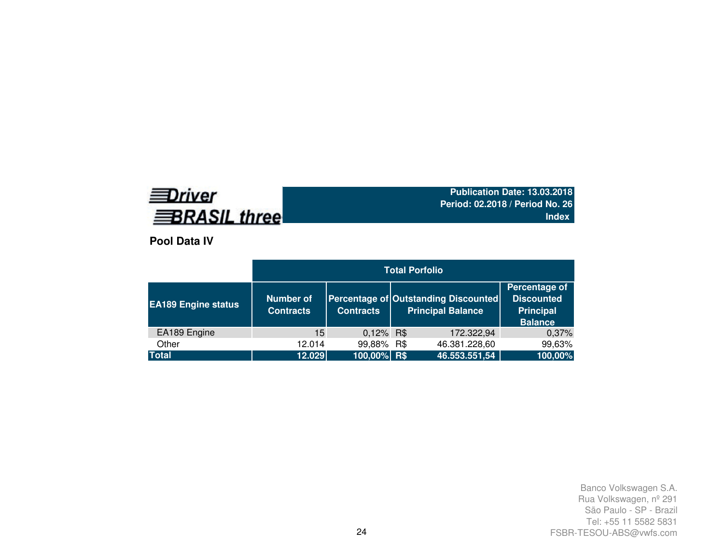# **EDriver BRASIL three**

**Publication Date: 13.03.2018 Period: 02.2018 / Period No. 26Index**

**Pool Data IV**

|                            | <b>Total Porfolio</b>         |                  |  |                                                                  |                                                                          |  |  |  |  |  |  |
|----------------------------|-------------------------------|------------------|--|------------------------------------------------------------------|--------------------------------------------------------------------------|--|--|--|--|--|--|
| <b>EA189 Engine status</b> | Number of<br><b>Contracts</b> | <b>Contracts</b> |  | Percentage of Outstanding Discounted<br><b>Principal Balance</b> | Percentage of<br><b>Discounted</b><br><b>Principal</b><br><b>Balance</b> |  |  |  |  |  |  |
| EA189 Engine               | 15                            | 0,12% R\$        |  | 172.322,94                                                       | 0,37%                                                                    |  |  |  |  |  |  |
| Other                      | 12.014                        | 99,88% R\$       |  | 46.381.228,60                                                    | 99,63%                                                                   |  |  |  |  |  |  |
| <b>Total</b>               | 12.029                        | 100,00% R\$      |  | 46.553.551,54                                                    | 100,00%                                                                  |  |  |  |  |  |  |